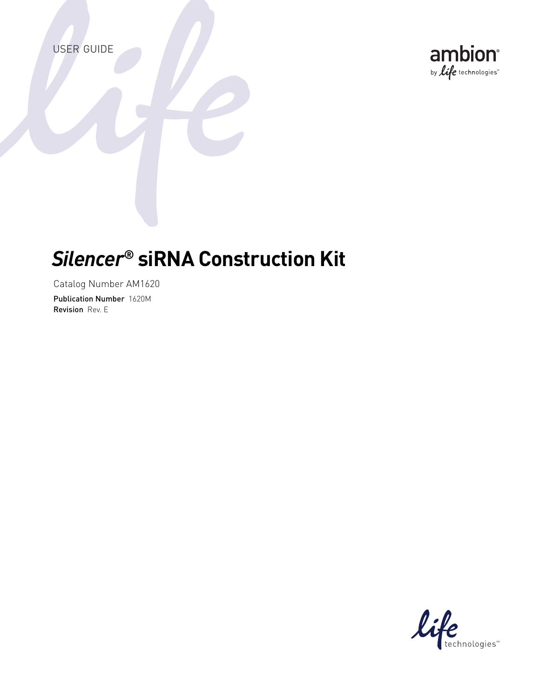





# *Silencer®* **siRNA Construction Kit**

Catalog Number AM1620 Publication Number 1620M Revision Rev. E

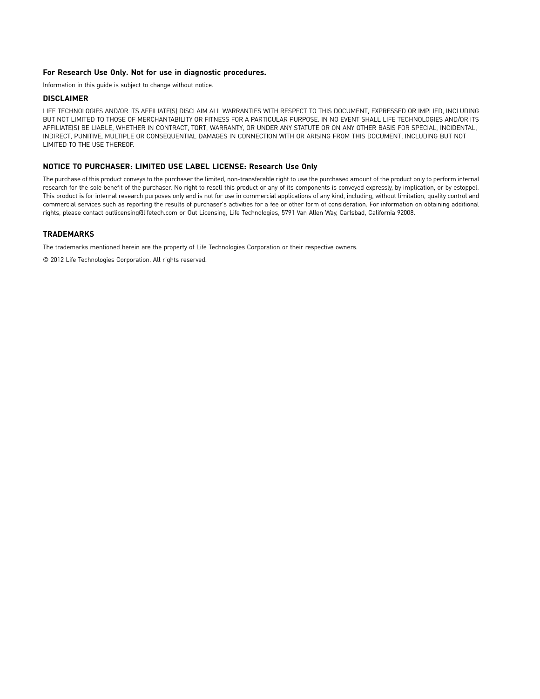#### **For Research Use Only. Not for use in diagnostic procedures.**

Information in this guide is subject to change without notice.

#### **DISCLAIMER**

LIFE TECHNOLOGIES AND/OR ITS AFFILIATE(S) DISCLAIM ALL WARRANTIES WITH RESPECT TO THIS DOCUMENT, EXPRESSED OR IMPLIED, INCLUDING BUT NOT LIMITED TO THOSE OF MERCHANTABILITY OR FITNESS FOR A PARTICULAR PURPOSE. IN NO EVENT SHALL LIFE TECHNOLOGIES AND/OR ITS AFFILIATE(S) BE LIABLE, WHETHER IN CONTRACT, TORT, WARRANTY, OR UNDER ANY STATUTE OR ON ANY OTHER BASIS FOR SPECIAL, INCIDENTAL, INDIRECT, PUNITIVE, MULTIPLE OR CONSEQUENTIAL DAMAGES IN CONNECTION WITH OR ARISING FROM THIS DOCUMENT, INCLUDING BUT NOT LIMITED TO THE USE THEREOF.

#### **NOTICE TO PURCHASER: LIMITED USE LABEL LICENSE: Research Use Only**

[The purchase of this product conveys to the purchaser the limited, non-transferable right to use the purchased amount of the product only to perform internal](mailto:outlicensing@lifetech.com)  research for the sole benefit of the purchaser. No right to resell this product or any of its components is conveyed expressly, by implication, or by estoppel. This product is for internal research purposes only and is not for use in commercial applications of any kind, including, without limitation, quality control and commercial services such as reporting the results of purchaser's activities for a fee or other form of consideration. For information on obtaining additional rights, please contact outlicensing@lifetech.com or Out Licensing, Life Technologies, 5791 Van Allen Way, Carlsbad, California 92008.

#### **TRADEMARKS**

The trademarks mentioned herein are the property of Life Technologies Corporation or their respective owners.

© 2012 Life Technologies Corporation. All rights reserved.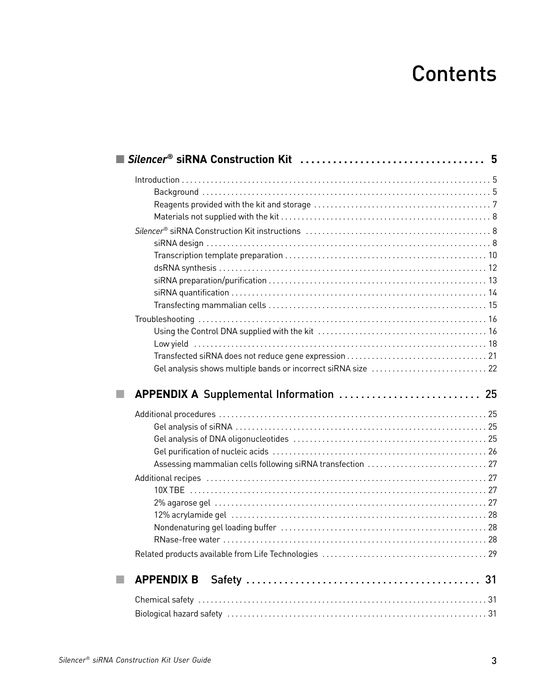# **Contents**

| APPENDIX A Supplemental Information  25                                                                        |  |
|----------------------------------------------------------------------------------------------------------------|--|
|                                                                                                                |  |
|                                                                                                                |  |
|                                                                                                                |  |
|                                                                                                                |  |
|                                                                                                                |  |
|                                                                                                                |  |
| Additional recipes (and according to the control of the control of the control of the control of the control o |  |
|                                                                                                                |  |
|                                                                                                                |  |
|                                                                                                                |  |
|                                                                                                                |  |
|                                                                                                                |  |
|                                                                                                                |  |
|                                                                                                                |  |
| <b>APPENDIX B</b>                                                                                              |  |
|                                                                                                                |  |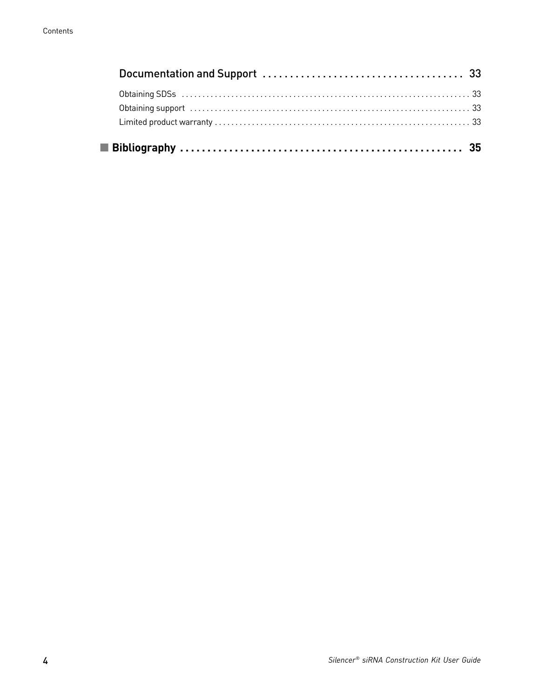| Obtaining SDSs (and according to the control of the control of the control of the control of the control of the control of the control of the control of the control of the control of the control of the control of the contr |  |
|--------------------------------------------------------------------------------------------------------------------------------------------------------------------------------------------------------------------------------|--|
|                                                                                                                                                                                                                                |  |
|                                                                                                                                                                                                                                |  |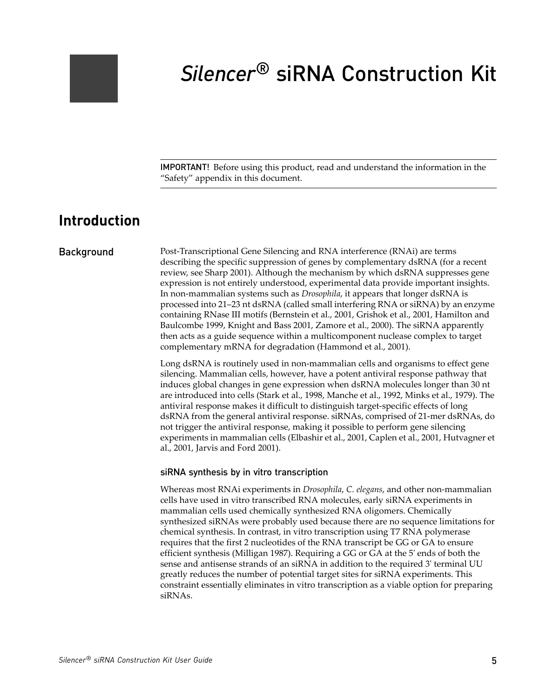# <span id="page-4-0"></span>*Silencer®* siRNA Construction Kit

IMPORTANT! Before using this product, read and understand the information in the "Safety" appendix in this document.

# <span id="page-4-1"></span>**Introduction**

<span id="page-4-2"></span>Background **Post-Transcriptional Gene Silencing and RNA interference (RNAi) are terms** describing the specific suppression of genes by complementary dsRNA (for a recent review, see Sharp 2001). Although the mechanism by which dsRNA suppresses gene expression is not entirely understood, experimental data provide important insights. In non-mammalian systems such as *Drosophila*, it appears that longer dsRNA is processed into 21–23 nt dsRNA (called small interfering RNA or siRNA) by an enzyme containing RNase III motifs (Bernstein et al., 2001, Grishok et al., 2001, Hamilton and Baulcombe 1999, Knight and Bass 2001, Zamore et al., 2000). The siRNA apparently then acts as a guide sequence within a multicomponent nuclease complex to target complementary mRNA for degradation (Hammond et al., 2001).

> Long dsRNA is routinely used in non-mammalian cells and organisms to effect gene silencing. Mammalian cells, however, have a potent antiviral response pathway that induces global changes in gene expression when dsRNA molecules longer than 30 nt are introduced into cells (Stark et al., 1998, Manche et al., 1992, Minks et al., 1979). The antiviral response makes it difficult to distinguish target-specific effects of long dsRNA from the general antiviral response. siRNAs, comprised of 21-mer dsRNAs, do not trigger the antiviral response, making it possible to perform gene silencing experiments in mammalian cells (Elbashir et al., 2001, Caplen et al., 2001, Hutvagner et al., 2001, Jarvis and Ford 2001).

#### siRNA synthesis by in vitro transcription

Whereas most RNAi experiments in *Drosophila*, *C. elegans*, and other non-mammalian cells have used in vitro transcribed RNA molecules, early siRNA experiments in mammalian cells used chemically synthesized RNA oligomers. Chemically synthesized siRNAs were probably used because there are no sequence limitations for chemical synthesis. In contrast, in vitro transcription using T7 RNA polymerase requires that the first 2 nucleotides of the RNA transcript be GG or GA to ensure efficient synthesis (Milligan 1987). Requiring a GG or GA at the 5' ends of both the sense and antisense strands of an siRNA in addition to the required 3' terminal UU greatly reduces the number of potential target sites for siRNA experiments. This constraint essentially eliminates in vitro transcription as a viable option for preparing siRNAs.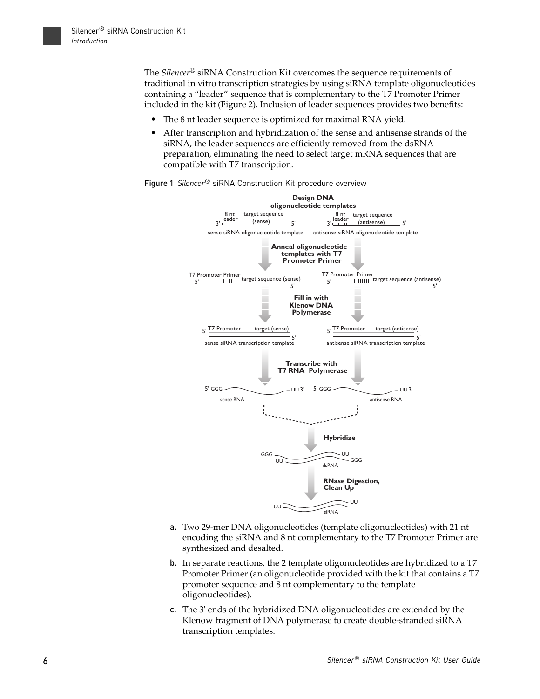The *Silencer*® siRNA Construction Kit overcomes the sequence requirements of traditional in vitro transcription strategies by using siRNA template oligonucleotides containing a "leader" sequence that is complementary to the T7 Promoter Primer included in the kit (Figure 2). Inclusion of leader sequences provides two benefits:

- The 8 nt leader sequence is optimized for maximal RNA yield.
- After transcription and hybridization of the sense and antisense strands of the siRNA, the leader sequences are efficiently removed from the dsRNA preparation, eliminating the need to select target mRNA sequences that are compatible with T7 transcription.



Figure 1 *Silencer®* siRNA Construction Kit procedure overview

- a. Two 29-mer DNA oligonucleotides (template oligonucleotides) with 21 nt encoding the siRNA and 8 nt complementary to the T7 Promoter Primer are synthesized and desalted.
- b. In separate reactions, the 2 template oligonucleotides are hybridized to a T7 Promoter Primer (an oligonucleotide provided with the kit that contains a T7 promoter sequence and 8 nt complementary to the template oligonucleotides).
- c. The 3' ends of the hybridized DNA oligonucleotides are extended by the Klenow fragment of DNA polymerase to create double-stranded siRNA transcription templates.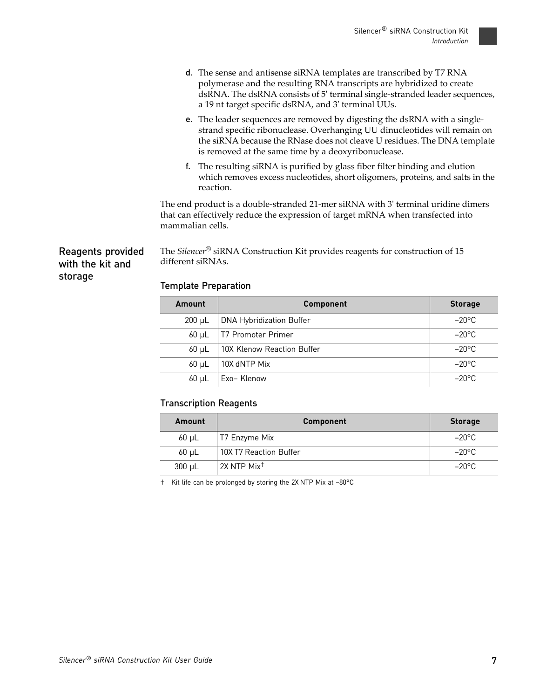- d. The sense and antisense siRNA templates are transcribed by T7 RNA polymerase and the resulting RNA transcripts are hybridized to create dsRNA. The dsRNA consists of 5' terminal single-stranded leader sequences, a 19 nt target specific dsRNA, and 3' terminal UUs.
- e. The leader sequences are removed by digesting the dsRNA with a singlestrand specific ribonuclease. Overhanging UU dinucleotides will remain on the siRNA because the RNase does not cleave U residues. The DNA template is removed at the same time by a deoxyribonuclease.
- f. The resulting siRNA is purified by glass fiber filter binding and elution which removes excess nucleotides, short oligomers, proteins, and salts in the reaction.

The end product is a double-stranded 21-mer siRNA with 3' terminal uridine dimers that can effectively reduce the expression of target mRNA when transfected into mammalian cells.

The *Silencer*® siRNA Construction Kit provides reagents for construction of 15 different siRNAs.

### <span id="page-6-0"></span>Reagents provided with the kit and storage

#### Template Preparation

| Amount      | <b>Component</b>           | <b>Storage</b>  |
|-------------|----------------------------|-----------------|
| $200 \mu L$ | DNA Hybridization Buffer   | $-20^{\circ}$ C |
| $60 \mu L$  | T7 Promoter Primer         | $-20^{\circ}$ C |
| $60 \mu L$  | 10X Klenow Reaction Buffer | $-20^{\circ}$ C |
| $60 \mu L$  | 10X dNTP Mix               | $-20^{\circ}$ C |
| $60 \mu L$  | Exo-Klenow                 | $-20^{\circ}$ C |

#### Transcription Reagents

| Amount     | <b>Component</b>          | <b>Storage</b>   |
|------------|---------------------------|------------------|
| $60 \mu L$ | T7 Enzyme Mix             | $-20^{\circ}$ C. |
| $60 \mu L$ | 10X T7 Reaction Buffer    | $-20^{\circ}$ C. |
| 300 µL     | $2X$ NTP Mix <sup>+</sup> | $-20^{\circ}$ C  |

† Kit life can be prolonged by storing the 2X NTP Mix at –80°C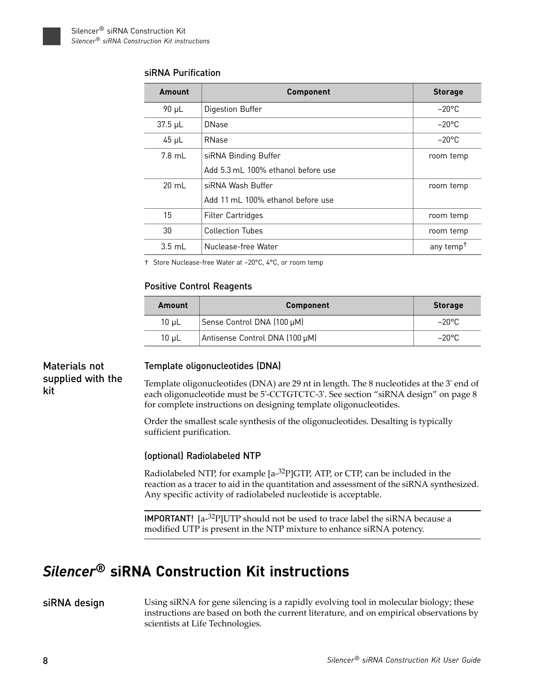#### siRNA Purification

| Amount           | <b>Component</b>                   | <b>Storage</b>        |
|------------------|------------------------------------|-----------------------|
| $90 \mu L$       | Digestion Buffer                   | $-20^{\circ}$ C       |
| $37.5$ µL        | <b>DNase</b>                       | $-20$ °C              |
| $45 \mu L$       | RNase                              | $-20^{\circ}$ C       |
| $7.8$ mL         | siRNA Binding Buffer               | room temp             |
|                  | Add 5.3 mL 100% ethanol before use |                       |
| $20 \text{ mL}$  | siRNA Wash Buffer                  | room temp             |
|                  | Add 11 mL 100% ethanol before use  |                       |
| 15               | <b>Filter Cartridges</b>           | room temp             |
| 30               | <b>Collection Tubes</b>            | room temp             |
| $3.5 \text{ mL}$ | Nuclease-free Water                | any temp <sup>+</sup> |

† Store Nuclease-free Water at –20°C, 4°C, or room temp

#### Positive Control Reagents

| Amount     | <b>Component</b>               | <b>Storage</b>  |
|------------|--------------------------------|-----------------|
| $10 \mu L$ | Sense Control DNA (100 µM)     | $-20^{\circ}$ C |
| $10 \mu L$ | Antisense Control DNA (100 µM) | $-20^{\circ}$ C |

<span id="page-7-0"></span>Materials not supplied with the kit

#### Template oligonucleotides (DNA)

Template oligonucleotides (DNA) are 29 nt in length. The 8 nucleotides at the 3' end of each oligonucleotide must be 5'-CCTGTCTC-3'. See section ["siRNA design" on page 8](#page-7-2)  for complete instructions on designing template oligonucleotides.

Order the smallest scale synthesis of the oligonucleotides. Desalting is typically sufficient purification.

#### (optional) Radiolabeled NTP

Radiolabeled NTP, for example [a-32P]GTP, ATP, or CTP, can be included in the reaction as a tracer to aid in the quantitation and assessment of the siRNA synthesized. Any specific activity of radiolabeled nucleotide is acceptable.

**IMPORTANT!**  $[a^{-32}P]$ UTP should not be used to trace label the siRNA because a modified UTP is present in the NTP mixture to enhance siRNA potency.

## <span id="page-7-1"></span>*Silencer***® siRNA Construction Kit instructions**

<span id="page-7-2"></span>siRNA design Using siRNA for gene silencing is a rapidly evolving tool in molecular biology; these instructions are based on both the current literature, and on empirical observations by scientists at Life Technologies.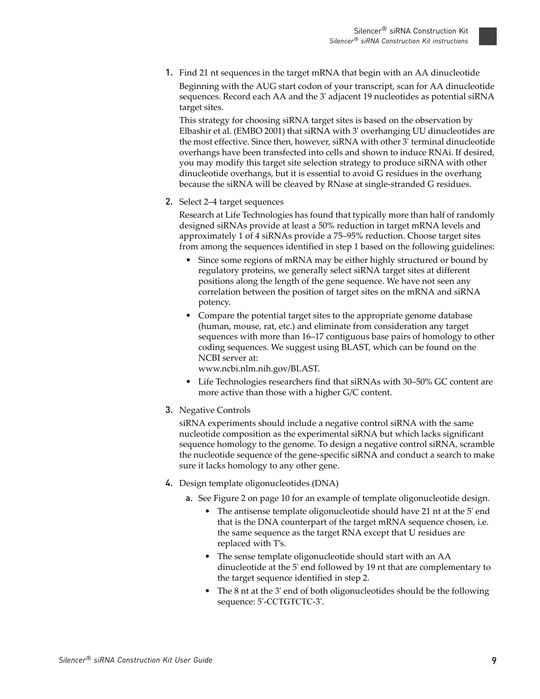1. Find 21 nt sequences in the target mRNA that begin with an AA dinucleotide

Beginning with the AUG start codon of your transcript, scan for AA dinucleotide sequences. Record each AA and the 3' adjacent 19 nucleotides as potential siRNA target sites.

This strategy for choosing siRNA target sites is based on the observation by Elbashir et al. (EMBO 2001) that siRNA with 3' overhanging UU dinucleotides are the most effective. Since then, however, siRNA with other 3' terminal dinucleotide overhangs have been transfected into cells and shown to induce RNAi. If desired, you may modify this target site selection strategy to produce siRNA with other dinucleotide overhangs, but it is essential to avoid G residues in the overhang because the siRNA will be cleaved by RNase at single-stranded G residues.

<span id="page-8-0"></span>2. Select 2–4 target sequences

Research at Life Technologies has found that typically more than half of randomly designed siRNAs provide at least a 50% reduction in target mRNA levels and approximately 1 of 4 siRNAs provide a 75–95% reduction. Choose target sites from among the sequences identified in step 1 based on the following guidelines:

- Since some regions of mRNA may be either highly structured or bound by regulatory proteins, we generally select siRNA target sites at different positions along the length of the gene sequence. We have not seen any correlation between the position of target sites on the mRNA and siRNA potency.
- Compare the potential target sites to the appropriate genome database (human, mouse, rat, etc.) and eliminate from consideration any target sequences with more than 16–17 contiguous base pairs of homology to other coding sequences. We suggest using BLAST, which can be found on the NCBI server at:

[www.ncbi.nlm.nih.gov/BLAST.](www.ncbi.nlm.nih.gov/BLAST)

- Life Technologies researchers find that siRNAs with 30–50% GC content are more active than those with a higher G/C content.
- 3. Negative Controls

siRNA experiments should include a negative control siRNA with the same nucleotide composition as the experimental siRNA but which lacks significant sequence homology to the genome. To design a negative control siRNA, scramble the nucleotide sequence of the gene-specific siRNA and conduct a search to make sure it lacks homology to any other gene.

- <span id="page-8-1"></span>4. Design template oligonucleotides (DNA)
	- a. See Figure [2 on page 10](#page-9-1) for an example of template oligonucleotide design.
		- The antisense template oligonucleotide should have 21 nt at the 5' end that is the DNA counterpart of the target mRNA sequence chosen, i.e. the same sequence as the target RNA except that U residues are replaced with T's.
		- The sense template oligonucleotide should start with an AA dinucleotide at the 5' end followed by 19 nt that are complementary to the target sequence identified in step [2.](#page-8-0)
		- The 8 nt at the 3' end of both oligonucleotides should be the following sequence: 5'-CCTGTCTC-3'.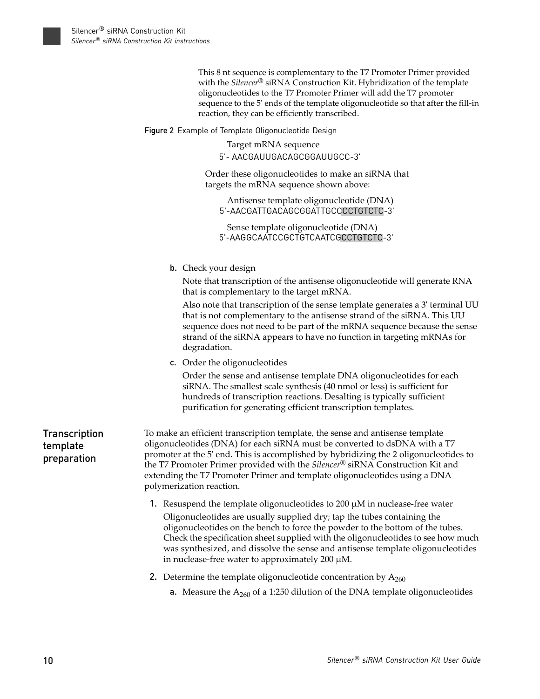This 8 nt sequence is complementary to the T7 Promoter Primer provided with the *Silencer*® siRNA Construction Kit. Hybridization of the template oligonucleotides to the T7 Promoter Primer will add the T7 promoter sequence to the 5' ends of the template oligonucleotide so that after the fill-in reaction, they can be efficiently transcribed.

<span id="page-9-1"></span>Figure 2 Example of Template Oligonucleotide Design

Target mRNA sequence 5'- AACGAUUGACAGCGGAUUGCC-3'

Order these oligonucleotides to make an siRNA that targets the mRNA sequence shown above:

5'-AACGATTGACAGCGGATTGCCCCTGTCTC-3' Antisense template oligonucleotide (DNA)

Sense template oligonucleotide (DNA) 5'-AAGGCAATCCGCTGTCAATCGCCTGTCTC-3'

b. Check your design

Note that transcription of the antisense oligonucleotide will generate RNA that is complementary to the target mRNA.

Also note that transcription of the sense template generates a 3' terminal UU that is not complementary to the antisense strand of the siRNA. This UU sequence does not need to be part of the mRNA sequence because the sense strand of the siRNA appears to have no function in targeting mRNAs for degradation.

c. Order the oligonucleotides

Order the sense and antisense template DNA oligonucleotides for each siRNA. The smallest scale synthesis (40 nmol or less) is sufficient for hundreds of transcription reactions. Desalting is typically sufficient purification for generating efficient transcription templates.

<span id="page-9-0"></span>**Transcription** template preparation To make an efficient transcription template, the sense and antisense template oligonucleotides (DNA) for each siRNA must be converted to dsDNA with a T7 promoter at the 5' end. This is accomplished by hybridizing the 2 oligonucleotides to the T7 Promoter Primer provided with the *Silencer*® siRNA Construction Kit and extending the T7 Promoter Primer and template oligonucleotides using a DNA polymerization reaction.

1. Resuspend the template oligonucleotides to 200 µM in nuclease-free water

Oligonucleotides are usually supplied dry; tap the tubes containing the oligonucleotides on the bench to force the powder to the bottom of the tubes. Check the specification sheet supplied with the oligonucleotides to see how much was synthesized, and dissolve the sense and antisense template oligonucleotides in nuclease-free water to approximately 200 µM.

- <span id="page-9-2"></span>**2.** Determine the template oligonucleotide concentration by  $A_{260}$ 
	- **a.** Measure the  $A_{260}$  of a 1:250 dilution of the DNA template oligonucleotides

10 *Silencer® siRNA Construction Kit User Guide*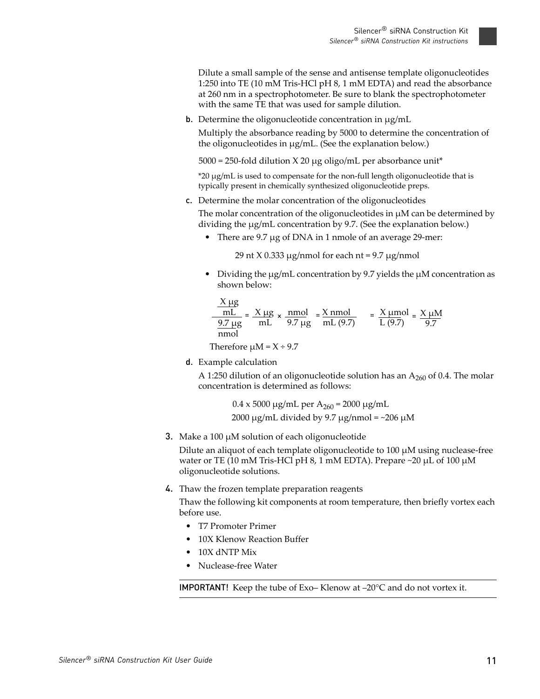Dilute a small sample of the sense and antisense template oligonucleotides 1:250 into TE (10 mM Tris-HCl pH 8, 1 mM EDTA) and read the absorbance at 260 nm in a spectrophotometer. Be sure to blank the spectrophotometer with the same TE that was used for sample dilution.

b. Determine the oligonucleotide concentration in µg/mL

Multiply the absorbance reading by 5000 to determine the concentration of the oligonucleotides in µg/mL. (See the explanation below.)

 $5000 = 250$ -fold dilution X 20 µg oligo/mL per absorbance unit\*

\*20 µg/mL is used to compensate for the non-full length oligonucleotide that is typically present in chemically synthesized oligonucleotide preps.

c. Determine the molar concentration of the oligonucleotides

The molar concentration of the oligonucleotides in  $\mu$ M can be determined by dividing the µg/mL concentration by 9.7. (See the explanation below.)

• There are 9.7 µg of DNA in 1 nmole of an average 29-mer:

29 nt X 0.333  $\mu$ g/nmol for each nt = 9.7  $\mu$ g/nmol

• Dividing the  $\mu$ g/mL concentration by 9.7 yields the  $\mu$ M concentration as shown below:

$$
\frac{X \mu g}{mL} = \frac{X \mu g}{mL} \times \frac{nmol}{9.7 \mu g} = \frac{X \text{ nmol}}{mL (9.7)} = \frac{X \mu mol}{L (9.7)} = \frac{X \mu M}{9.7}
$$

Therefore  $\mu$ M = X ÷ 9.7

d. Example calculation

A 1:250 dilution of an oligonucleotide solution has an  $A_{260}$  of 0.4. The molar concentration is determined as follows:

 $0.4 \times 5000 \mu g/mL$  per A<sub>260</sub> = 2000  $\mu g/mL$ 

2000  $\mu$ g/mL divided by 9.7  $\mu$ g/nmol = ~206  $\mu$ M

3. Make a 100 µM solution of each oligonucleotide

Dilute an aliquot of each template oligonucleotide to  $100 \mu M$  using nuclease-free water or TE (10 mM Tris-HCl pH 8, 1 mM EDTA). Prepare ~20 µL of 100 µM oligonucleotide solutions.

<span id="page-10-0"></span>4. Thaw the frozen template preparation reagents

Thaw the following kit components at room temperature, then briefly vortex each before use.

- T7 Promoter Primer
- 10X Klenow Reaction Buffer
- 10X dNTP Mix
- Nuclease-free Water

IMPORTANT! Keep the tube of Exo– Klenow at –20°C and do not vortex it.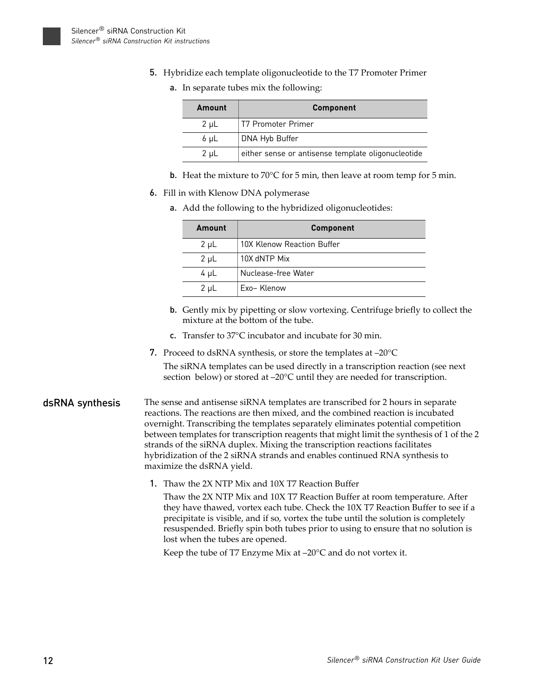- <span id="page-11-2"></span>5. Hybridize each template oligonucleotide to the T7 Promoter Primer
	- a. In separate tubes mix the following:

| Amount | <b>Component</b>                                   |
|--------|----------------------------------------------------|
| 2 uL   | T7 Promoter Primer                                 |
| 6 uL   | DNA Hyb Buffer                                     |
| $2u$ L | either sense or antisense template oligonucleotide |

- b. Heat the mixture to 70°C for 5 min, then leave at room temp for 5 min.
- 6. Fill in with Klenow DNA polymerase
	- a. Add the following to the hybridized oligonucleotides:

| Amount    | <b>Component</b>           |
|-----------|----------------------------|
| $2 \mu L$ | 10X Klenow Reaction Buffer |
| $2 \mu L$ | 10X dNTP Mix               |
| 4 $\mu$ L | Nuclease-free Water        |
| $2 \mu L$ | Fxo-Klenow                 |

- b. Gently mix by pipetting or slow vortexing. Centrifuge briefly to collect the mixture at the bottom of the tube.
- c. Transfer to 37°C incubator and incubate for 30 min.
- <span id="page-11-1"></span>7. Proceed to dsRNA synthesis, or store the templates at –20°C

The siRNA templates can be used directly in a transcription reaction (see next section below) or stored at –20°C until they are needed for transcription.

#### <span id="page-11-0"></span>**dsRNA synthesis** The sense and antisense siRNA templates are transcribed for 2 hours in separate reactions. The reactions are then mixed, and the combined reaction is incubated overnight. Transcribing the templates separately eliminates potential competition between templates for transcription reagents that might limit the synthesis of 1 of the 2 strands of the siRNA duplex. Mixing the transcription reactions facilitates hybridization of the 2 siRNA strands and enables continued RNA synthesis to maximize the dsRNA yield.

1. Thaw the 2X NTP Mix and 10X T7 Reaction Buffer

Thaw the 2X NTP Mix and 10X T7 Reaction Buffer at room temperature. After they have thawed, vortex each tube. Check the 10X T7 Reaction Buffer to see if a precipitate is visible, and if so, vortex the tube until the solution is completely resuspended. Briefly spin both tubes prior to using to ensure that no solution is lost when the tubes are opened.

Keep the tube of T7 Enzyme Mix at –20°C and do not vortex it.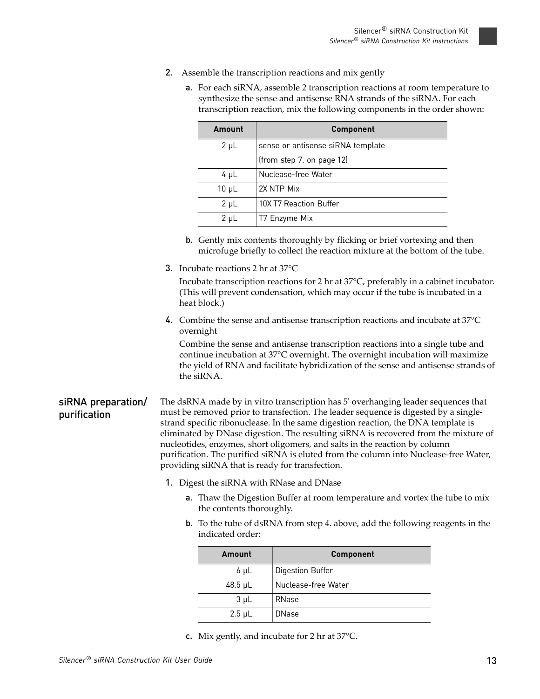- 2. Assemble the transcription reactions and mix gently
	- a. For each siRNA, assemble 2 transcription reactions at room temperature to synthesize the sense and antisense RNA strands of the siRNA. For each transcription reaction, mix the following components in the order shown:

| Amount     | <b>Component</b>                  |
|------------|-----------------------------------|
| $2 \mu L$  | sense or antisense siRNA template |
|            | (from step 7. on page 12)         |
| 4 µL       | Nuclease-free Water               |
| $10 \mu L$ | 2X NTP Mix                        |
| $2 \mu L$  | 10X T7 Reaction Buffer            |
| $2 \mu L$  | T7 Enzyme Mix                     |

- b. Gently mix contents thoroughly by flicking or brief vortexing and then microfuge briefly to collect the reaction mixture at the bottom of the tube.
- <span id="page-12-3"></span>3. Incubate reactions 2 hr at 37°C

Incubate transcription reactions for 2 hr at 37°C, preferably in a cabinet incubator. (This will prevent condensation, which may occur if the tube is incubated in a heat block.)

<span id="page-12-4"></span><span id="page-12-1"></span>4. Combine the sense and antisense transcription reactions and incubate at 37°C overnight

Combine the sense and antisense transcription reactions into a single tube and continue incubation at 37°C overnight. The overnight incubation will maximize the yield of RNA and facilitate hybridization of the sense and antisense strands of the siRNA.

### <span id="page-12-0"></span>siRNA preparation/ purification

The dsRNA made by in vitro transcription has 5' overhanging leader sequences that must be removed prior to transfection. The leader sequence is digested by a singlestrand specific ribonuclease. In the same digestion reaction, the DNA template is eliminated by DNase digestion. The resulting siRNA is recovered from the mixture of nucleotides, enzymes, short oligomers, and salts in the reaction by column purification. The purified siRNA is eluted from the column into Nuclease-free Water, providing siRNA that is ready for transfection.

- <span id="page-12-2"></span>1. Digest the siRNA with RNase and DNase
	- a. Thaw the Digestion Buffer at room temperature and vortex the tube to mix the contents thoroughly.
	- b. To the tube of dsRNA from step [4.](#page-12-1) above, add the following reagents in the indicated order:

| Amount      | <b>Component</b>    |
|-------------|---------------------|
| $6 \mu L$   | Digestion Buffer    |
| 48.5 µL     | Nuclease-free Water |
| $3 \mu L$   | RNase               |
| $2.5 \mu L$ | <b>DNase</b>        |

c. Mix gently, and incubate for 2 hr at 37°C.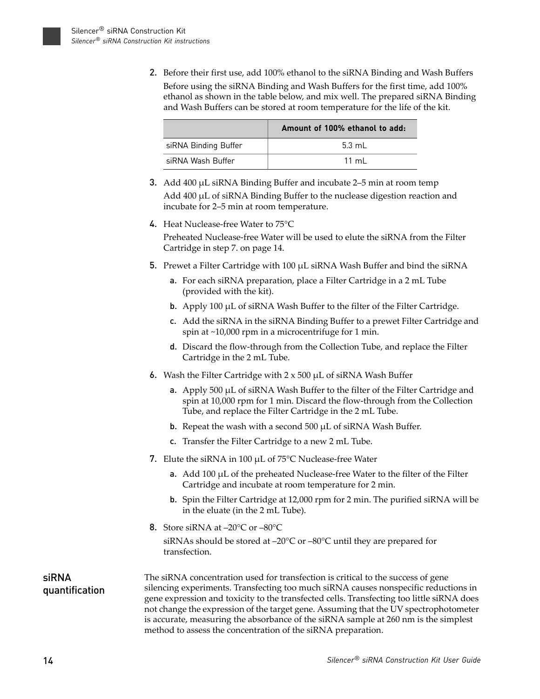<span id="page-13-3"></span>2. Before their first use, add 100% ethanol to the siRNA Binding and Wash Buffers Before using the siRNA Binding and Wash Buffers for the first time, add 100% ethanol as shown in the table below, and mix well. The prepared siRNA Binding and Wash Buffers can be stored at room temperature for the life of the kit.

|                      | Amount of 100% ethanol to add: |
|----------------------|--------------------------------|
| siRNA Binding Buffer | $5.3 \text{ ml}$               |
| siRNA Wash Buffer    | $11 \text{ ml}$                |

- <span id="page-13-2"></span>3. Add  $400 \mu L$  siRNA Binding Buffer and incubate 2–5 min at room temp Add 400 µL of siRNA Binding Buffer to the nuclease digestion reaction and incubate for 2–5 min at room temperature.
- 4. Heat Nuclease-free Water to 75°C

Preheated Nuclease-free Water will be used to elute the siRNA from the Filter Cartridge in step [7. on page 14](#page-13-1).

- 5. Prewet a Filter Cartridge with 100 µL siRNA Wash Buffer and bind the siRNA
	- a. For each siRNA preparation, place a Filter Cartridge in a 2 mL Tube (provided with the kit).
	- b. Apply 100 µL of siRNA Wash Buffer to the filter of the Filter Cartridge.
	- c. Add the siRNA in the siRNA Binding Buffer to a prewet Filter Cartridge and spin at ~10,000 rpm in a microcentrifuge for 1 min.
	- d. Discard the flow-through from the Collection Tube, and replace the Filter Cartridge in the 2 mL Tube.
- 6. Wash the Filter Cartridge with  $2 \times 500 \mu L$  of siRNA Wash Buffer
	- a. Apply 500  $\mu$ L of siRNA Wash Buffer to the filter of the Filter Cartridge and spin at 10,000 rpm for 1 min. Discard the flow-through from the Collection Tube, and replace the Filter Cartridge in the 2 mL Tube.
	- b. Repeat the wash with a second 500 µL of siRNA Wash Buffer.
	- c. Transfer the Filter Cartridge to a new 2 mL Tube.
- <span id="page-13-1"></span>7. Elute the siRNA in 100  $\mu$ L of 75°C Nuclease-free Water
	- a. Add 100 µL of the preheated Nuclease-free Water to the filter of the Filter Cartridge and incubate at room temperature for 2 min.
	- b. Spin the Filter Cartridge at 12,000 rpm for 2 min. The purified siRNA will be in the eluate (in the 2 mL Tube).
- 8. Store siRNA at -20°C or -80°C siRNAs should be stored at –20°C or –80°C until they are prepared for transfection.

<span id="page-13-0"></span>siRNA quantification The siRNA concentration used for transfection is critical to the success of gene silencing experiments. Transfecting too much siRNA causes nonspecific reductions in gene expression and toxicity to the transfected cells. Transfecting too little siRNA does not change the expression of the target gene. Assuming that the UV spectrophotometer is accurate, measuring the absorbance of the siRNA sample at 260 nm is the simplest method to assess the concentration of the siRNA preparation.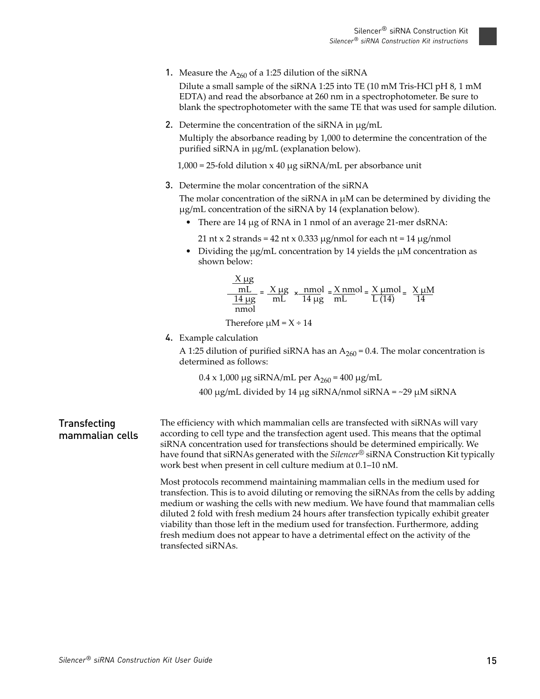1. Measure the  $A_{260}$  of a 1:25 dilution of the siRNA

Dilute a small sample of the siRNA 1:25 into TE (10 mM Tris-HCl pH 8, 1 mM EDTA) and read the absorbance at 260 nm in a spectrophotometer. Be sure to blank the spectrophotometer with the same TE that was used for sample dilution.

2. Determine the concentration of the siRNA in µg/mL

Multiply the absorbance reading by 1,000 to determine the concentration of the purified siRNA in µg/mL (explanation below).

 $1,000 = 25$ -fold dilution x 40 µg siRNA/mL per absorbance unit

3. Determine the molar concentration of the siRNA

The molar concentration of the siRNA in  $\mu$ M can be determined by dividing the µg/mL concentration of the siRNA by 14 (explanation below).

• There are 14 µg of RNA in 1 nmol of an average 21-mer dsRNA:

21 nt x 2 strands = 42 nt x 0.333  $\mu$ g/nmol for each nt = 14  $\mu$ g/nmol

Dividing the  $\mu$ g/mL concentration by 14 yields the  $\mu$ M concentration as shown below:

$$
\frac{X \mu g}{\frac{14 \mu g}{\text{mol}}} = \frac{X \mu g}{mL} \times \frac{\text{nmol}}{14 \mu g} = \frac{X \text{nmol}}{mL} = \frac{X \mu mol}{L (14)} = \frac{X \mu M}{14}
$$

Therefore  $\mu$ M = X ÷ 14

4. Example calculation

A 1:25 dilution of purified siRNA has an  $A_{260} = 0.4$ . The molar concentration is determined as follows:

 $0.4 \times 1,000 \mu g \text{ siRNA/mL per A}_{260} = 400 \mu g/mL$ 

400  $\mu$ g/mL divided by 14  $\mu$ g siRNA/nmol siRNA = ~29  $\mu$ M siRNA

<span id="page-14-0"></span>**Transfecting** mammalian cells The efficiency with which mammalian cells are transfected with siRNAs will vary according to cell type and the transfection agent used. This means that the optimal siRNA concentration used for transfections should be determined empirically. We have found that siRNAs generated with the *Silencer*® siRNA Construction Kit typically work best when present in cell culture medium at 0.1–10 nM.

> Most protocols recommend maintaining mammalian cells in the medium used for transfection. This is to avoid diluting or removing the siRNAs from the cells by adding medium or washing the cells with new medium. We have found that mammalian cells diluted 2 fold with fresh medium 24 hours after transfection typically exhibit greater viability than those left in the medium used for transfection. Furthermore, adding fresh medium does not appear to have a detrimental effect on the activity of the transfected siRNAs.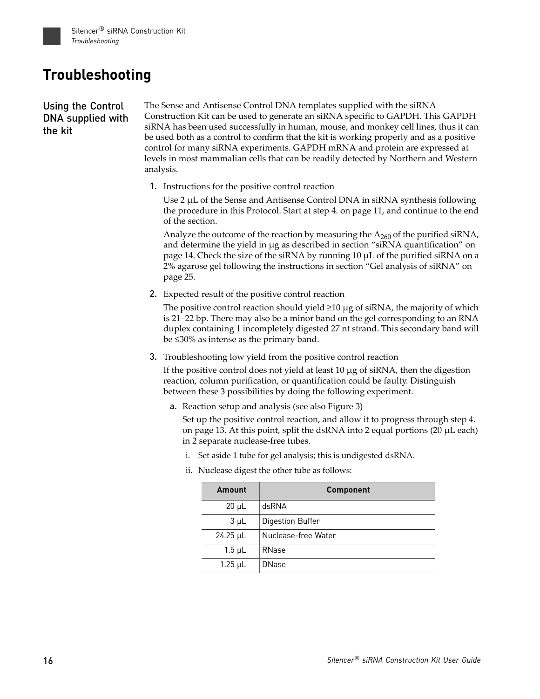# <span id="page-15-0"></span>**Troubleshooting**

#### <span id="page-15-1"></span>Using the Control DNA supplied with the kit

The Sense and Antisense Control DNA templates supplied with the siRNA Construction Kit can be used to generate an siRNA specific to GAPDH. This GAPDH siRNA has been used successfully in human, mouse, and monkey cell lines, thus it can be used both as a control to confirm that the kit is working properly and as a positive control for many siRNA experiments. GAPDH mRNA and protein are expressed at levels in most mammalian cells that can be readily detected by Northern and Western analysis.

1. Instructions for the positive control reaction

Use 2 µL of the Sense and Antisense Control DNA in siRNA synthesis following the procedure in this Protocol. Start at step [4. on page 11,](#page-10-0) and continue to the end of the section.

Analyze the outcome of the reaction by measuring the  $A_{260}$  of the purified siRNA, and determine the yield in µg as described in section "siRNA quantification" on [page 14.](#page-13-0) Check the size of the siRNA by running 10  $\mu$ L of the purified siRNA on a 2% agarose gel following the instructions in section ["Gel analysis of siRNA" on](#page-24-4)  [page 25](#page-24-4).

2. Expected result of the positive control reaction

The positive control reaction should yield  $\geq 10 \mu$ g of siRNA, the majority of which is 21–22 bp. There may also be a minor band on the gel corresponding to an RNA duplex containing 1 incompletely digested 27 nt strand. This secondary band will be ≤30% as intense as the primary band.

<span id="page-15-2"></span>3. Troubleshooting low yield from the positive control reaction

If the positive control does not yield at least  $10 \mu$ g of siRNA, then the digestion reaction, column purification, or quantification could be faulty. Distinguish between these 3 possibilities by doing the following experiment.

a. Reaction setup and analysis (see also Figure [3](#page-16-0))

Set up the positive control reaction, and allow it to progress through step [4.](#page-12-1)  [on page 13.](#page-12-1) At this point, split the dsRNA into 2 equal portions (20  $\mu$ L each) in 2 separate nuclease-free tubes.

- i. Set aside 1 tube for gel analysis; this is undigested dsRNA.
- ii. Nuclease digest the other tube as follows:

| Amount        | <b>Component</b>    |
|---------------|---------------------|
| $20 \mu L$    | dsRNA               |
| $3 \mu L$     | Digestion Buffer    |
| $24.25 \mu L$ | Nuclease-free Water |
| $1.5 \mu L$   | RNase               |
| $1.25 \mu L$  | DNase               |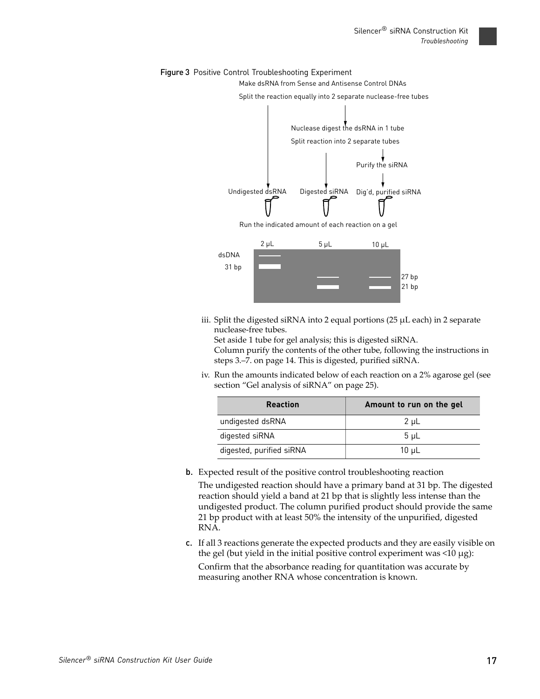#### <span id="page-16-0"></span>Figure 3 Positive Control Troubleshooting Experiment

Make dsRNA from Sense and Antisense Control DNAs

Split the reaction equally into 2 separate nuclease-free tubes



iii. Split the digested siRNA into 2 equal portions (25 µL each) in 2 separate nuclease-free tubes.

Set aside 1 tube for gel analysis; this is digested siRNA. Column purify the contents of the other tube, following the instructions in steps [3.–](#page-13-2)[7. on page 14](#page-13-1). This is digested, purified siRNA.

iv. Run the amounts indicated below of each reaction on a 2% agarose gel (see section ["Gel analysis of siRNA" on page 25](#page-24-4)).

| <b>Reaction</b>          | Amount to run on the gel |
|--------------------------|--------------------------|
| undigested dsRNA         | 2 <sub>µ</sub>           |
| digested siRNA           | $5 \mu L$                |
| digested, purified siRNA | $10 \mu L$               |

b. Expected result of the positive control troubleshooting reaction

The undigested reaction should have a primary band at 31 bp. The digested reaction should yield a band at 21 bp that is slightly less intense than the undigested product. The column purified product should provide the same 21 bp product with at least 50% the intensity of the unpurified, digested RNA.

c. If all 3 reactions generate the expected products and they are easily visible on the gel (but yield in the initial positive control experiment was  $\leq 10 \mu$ g): Confirm that the absorbance reading for quantitation was accurate by measuring another RNA whose concentration is known.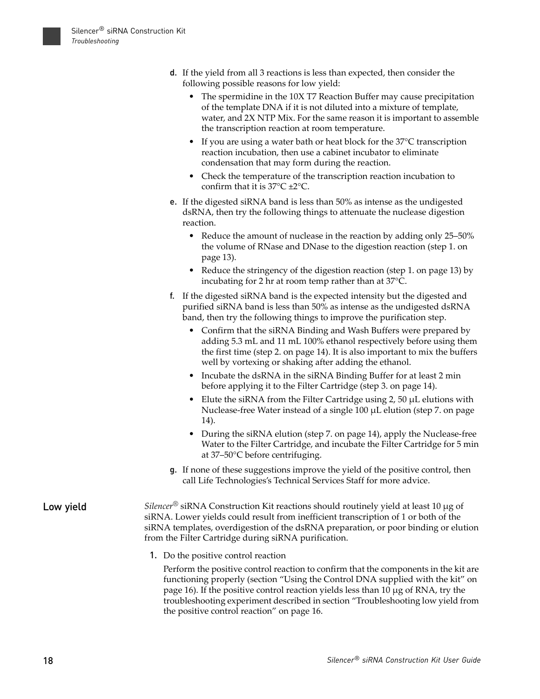| <b>d.</b> If the yield from all 3 reactions is less than expected, then consider the |
|--------------------------------------------------------------------------------------|
| following possible reasons for low yield:                                            |

- The spermidine in the 10X T7 Reaction Buffer may cause precipitation of the template DNA if it is not diluted into a mixture of template, water, and 2X NTP Mix. For the same reason it is important to assemble the transcription reaction at room temperature.
- If you are using a water bath or heat block for the 37°C transcription reaction incubation, then use a cabinet incubator to eliminate condensation that may form during the reaction.
- Check the temperature of the transcription reaction incubation to confirm that it is  $37^{\circ}$ C  $\pm$ 2 $^{\circ}$ C.
- e. If the digested siRNA band is less than 50% as intense as the undigested dsRNA, then try the following things to attenuate the nuclease digestion reaction.
	- Reduce the amount of nuclease in the reaction by adding only 25–50% the volume of RNase and DNase to the digestion reaction (step [1. on](#page-12-2)  [page 13](#page-12-2)).
	- Reduce the stringency of the digestion reaction (step [1. on page 13](#page-12-2)) by incubating for 2 hr at room temp rather than at 37°C.
- f. If the digested siRNA band is the expected intensity but the digested and purified siRNA band is less than 50% as intense as the undigested dsRNA band, then try the following things to improve the purification step.
	- Confirm that the siRNA Binding and Wash Buffers were prepared by adding 5.3 mL and 11 mL 100% ethanol respectively before using them the first time (step [2. on page 14](#page-13-3)). It is also important to mix the buffers well by vortexing or shaking after adding the ethanol.
	- Incubate the dsRNA in the siRNA Binding Buffer for at least 2 min before applying it to the Filter Cartridge (step [3. on page 14](#page-13-2)).
	- Elute the siRNA from the Filter Cartridge using  $2$ ,  $50 \mu$ L elutions with Nuclease-free Water instead of a single 100 µL elution (step [7. on page](#page-13-1)  [14\)](#page-13-1).
	- During the siRNA elution (step [7. on page 14](#page-13-1)), apply the Nuclease-free Water to the Filter Cartridge, and incubate the Filter Cartridge for 5 min at 37–50°C before centrifuging.
- g. If none of these suggestions improve the yield of the positive control, then call Life Technologies's Technical Services Staff for more advice.

<span id="page-17-0"></span>**Low yield** *Silencer<sup>®</sup>* siRNA Construction Kit reactions should routinely yield at least 10 µg of siRNA. Lower yields could result from inefficient transcription of 1 or both of the siRNA templates, overdigestion of the dsRNA preparation, or poor binding or elution from the Filter Cartridge during siRNA purification.

1. Do the positive control reaction

Perform the positive control reaction to confirm that the components in the kit are functioning properly (section ["Using the Control DNA supplied with the kit" on](#page-15-1)  [page 16](#page-15-1)). If the positive control reaction yields less than 10  $\mu$ g of RNA, try the troubleshooting experiment described in section ["Troubleshooting low yield from](#page-15-2)  [the positive control reaction" on page 16.](#page-15-2)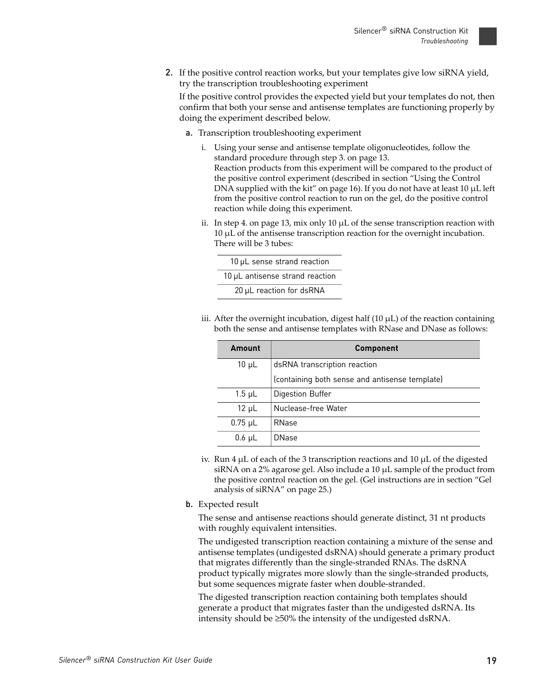2. If the positive control reaction works, but your templates give low siRNA yield, try the transcription troubleshooting experiment

If the positive control provides the expected yield but your templates do not, then confirm that both your sense and antisense templates are functioning properly by doing the experiment described below.

- a. Transcription troubleshooting experiment
	- i. Using your sense and antisense template oligonucleotides, follow the standard procedure through step [3. on page 13](#page-12-3). Reaction products from this experiment will be compared to the product of the positive control experiment (described in section ["Using the Control](#page-15-1)  [DNA supplied with the kit" on page 16\)](#page-15-1). If you do not have at least 10 µL left from the positive control reaction to run on the gel, do the positive control reaction while doing this experiment.
	- ii. In step 4, on page 13, mix only 10  $\mu$ L of the sense transcription reaction with 10 µL of the antisense transcription reaction for the overnight incubation. There will be 3 tubes:

10 µL sense strand reaction 10 µL antisense strand reaction 20 µL reaction for dsRNA

iii. After the overnight incubation, digest half  $(10 \mu L)$  of the reaction containing both the sense and antisense templates with RNase and DNase as follows:

| Amount      | <b>Component</b>                               |
|-------------|------------------------------------------------|
| $10 \mu L$  | dsRNA transcription reaction                   |
|             | (containing both sense and antisense template) |
| $1.5 \mu L$ | Digestion Buffer                               |
| $12 \mu L$  | Nuclease-free Water                            |
| $0.75$ µL   | RNase                                          |
| $0.6 \mu L$ | <b>DNase</b>                                   |

- iv. Run 4  $\mu$ L of each of the 3 transcription reactions and 10  $\mu$ L of the digested siRNA on a 2% agarose gel. Also include a 10 µL sample of the product from the positive control reaction on the gel. (Gel instructions are in section ["Gel](#page-24-4)  [analysis of siRNA" on page 25.](#page-24-4))
- b. Expected result

The sense and antisense reactions should generate distinct, 31 nt products with roughly equivalent intensities.

The undigested transcription reaction containing a mixture of the sense and antisense templates (undigested dsRNA) should generate a primary product that migrates differently than the single-stranded RNAs. The dsRNA product typically migrates more slowly than the single-stranded products, but some sequences migrate faster when double-stranded.

The digested transcription reaction containing both templates should generate a product that migrates faster than the undigested dsRNA. Its intensity should be ≥50% the intensity of the undigested dsRNA.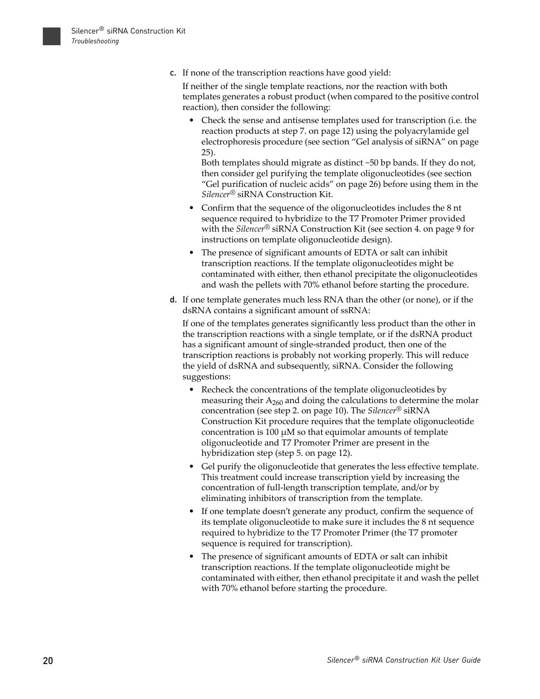c. If none of the transcription reactions have good yield:

If neither of the single template reactions, nor the reaction with both templates generates a robust product (when compared to the positive control reaction), then consider the following:

• Check the sense and antisense templates used for transcription (i.e. the reaction products at step [7. on page 12\)](#page-11-1) using the polyacrylamide gel electrophoresis procedure (see section ["Gel analysis of siRNA" on page](#page-24-4)  [25\)](#page-24-4).

Both templates should migrate as distinct ~50 bp bands. If they do not, then consider gel purifying the template oligonucleotides (see section ["Gel purification of nucleic acids" on page 26\)](#page-25-1) before using them in the *Silencer*® siRNA Construction Kit.

- Confirm that the sequence of the oligonucleotides includes the 8 nt sequence required to hybridize to the T7 Promoter Primer provided with the *Silencer*® siRNA Construction Kit (see section [4. on page 9](#page-8-1) for instructions on template oligonucleotide design).
- The presence of significant amounts of EDTA or salt can inhibit transcription reactions. If the template oligonucleotides might be contaminated with either, then ethanol precipitate the oligonucleotides and wash the pellets with 70% ethanol before starting the procedure.
- d. If one template generates much less RNA than the other (or none), or if the dsRNA contains a significant amount of ssRNA:

If one of the templates generates significantly less product than the other in the transcription reactions with a single template, or if the dsRNA product has a significant amount of single-stranded product, then one of the transcription reactions is probably not working properly. This will reduce the yield of dsRNA and subsequently, siRNA. Consider the following suggestions:

- Recheck the concentrations of the template oligonucleotides by measuring their  $A_{260}$  and doing the calculations to determine the molar concentration (see step [2. on page 10\)](#page-9-2). The *Silencer*® siRNA Construction Kit procedure requires that the template oligonucleotide concentration is 100  $\mu$ M so that equimolar amounts of template oligonucleotide and T7 Promoter Primer are present in the hybridization step (step [5. on page 12\)](#page-11-2).
- Gel purify the oligonucleotide that generates the less effective template. This treatment could increase transcription yield by increasing the concentration of full-length transcription template, and/or by eliminating inhibitors of transcription from the template.
- If one template doesn't generate any product, confirm the sequence of its template oligonucleotide to make sure it includes the 8 nt sequence required to hybridize to the T7 Promoter Primer (the T7 promoter sequence is required for transcription).
- The presence of significant amounts of EDTA or salt can inhibit transcription reactions. If the template oligonucleotide might be contaminated with either, then ethanol precipitate it and wash the pellet with 70% ethanol before starting the procedure.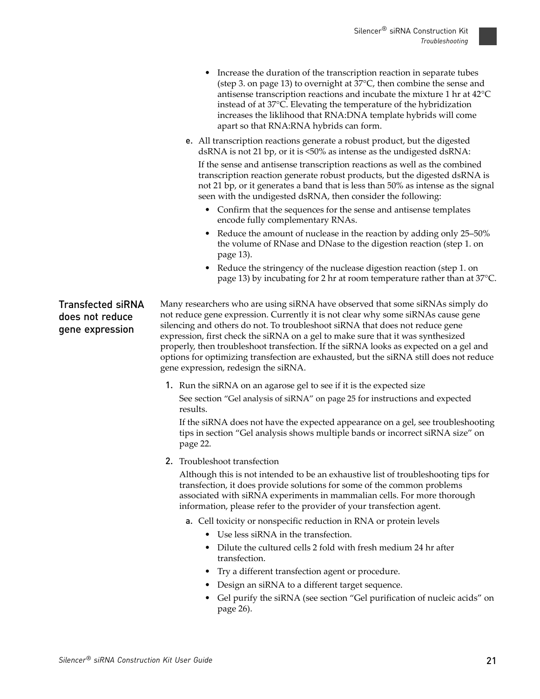- Increase the duration of the transcription reaction in separate tubes (step [3. on page 13](#page-12-3)) to overnight at 37°C, then combine the sense and antisense transcription reactions and incubate the mixture 1 hr at 42°C instead of at 37°C. Elevating the temperature of the hybridization increases the liklihood that RNA:DNA template hybrids will come apart so that RNA:RNA hybrids can form.
- e. All transcription reactions generate a robust product, but the digested dsRNA is not 21 bp, or it is <50% as intense as the undigested dsRNA:

If the sense and antisense transcription reactions as well as the combined transcription reaction generate robust products, but the digested dsRNA is not 21 bp, or it generates a band that is less than 50% as intense as the signal seen with the undigested dsRNA, then consider the following:

- Confirm that the sequences for the sense and antisense templates encode fully complementary RNAs.
- Reduce the amount of nuclease in the reaction by adding only 25–50% the volume of RNase and DNase to the digestion reaction (step [1. on](#page-12-2)  [page 13](#page-12-2)).
- Reduce the stringency of the nuclease digestion reaction (step 1. on [page 13](#page-12-2)) by incubating for 2 hr at room temperature rather than at 37°C.

### <span id="page-20-0"></span>Transfected siRNA does not reduce gene expression

Many researchers who are using siRNA have observed that some siRNAs simply do not reduce gene expression. Currently it is not clear why some siRNAs cause gene silencing and others do not. To troubleshoot siRNA that does not reduce gene expression, first check the siRNA on a gel to make sure that it was synthesized properly, then troubleshoot transfection. If the siRNA looks as expected on a gel and options for optimizing transfection are exhausted, but the siRNA still does not reduce gene expression, redesign the siRNA.

1. Run the siRNA on an agarose gel to see if it is the expected size

See section ["Gel analysis of siRNA" on page 25](#page-24-4) for instructions and expected results.

If the siRNA does not have the expected appearance on a gel, see troubleshooting tips in section ["Gel analysis shows multiple bands or incorrect siRNA size" on](#page-21-0)  [page 22](#page-21-0).

2. Troubleshoot transfection

Although this is not intended to be an exhaustive list of troubleshooting tips for transfection, it does provide solutions for some of the common problems associated with siRNA experiments in mammalian cells. For more thorough information, please refer to the provider of your transfection agent.

- a. Cell toxicity or nonspecific reduction in RNA or protein levels
	- Use less siRNA in the transfection.
	- Dilute the cultured cells 2 fold with fresh medium 24 hr after transfection.
	- Try a different transfection agent or procedure.
	- Design an siRNA to a different target sequence.
	- Gel purify the siRNA (see section ["Gel purification of nucleic acids" on](#page-25-1)  [page 26](#page-25-1)).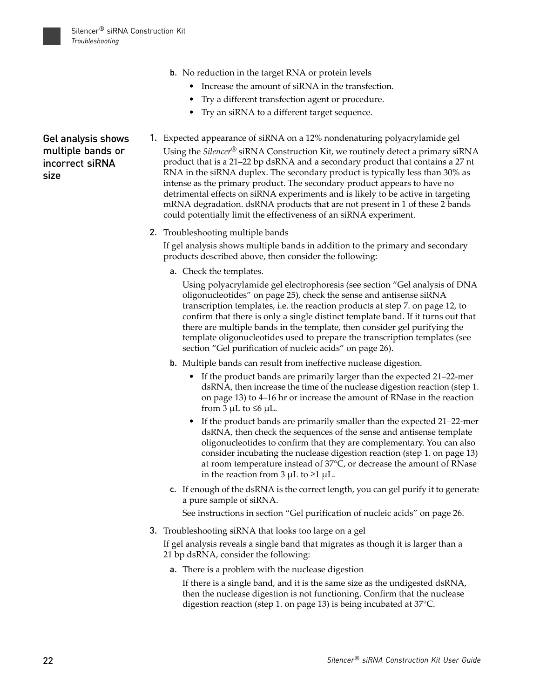- b. No reduction in the target RNA or protein levels
	- Increase the amount of siRNA in the transfection.
	- Try a different transfection agent or procedure.
	- Try an siRNA to a different target sequence.
- 1. Expected appearance of siRNA on a 12% nondenaturing polyacrylamide gel Using the *Silencer*® siRNA Construction Kit, we routinely detect a primary siRNA product that is a 21–22 bp dsRNA and a secondary product that contains a 27 nt RNA in the siRNA duplex. The secondary product is typically less than 30% as intense as the primary product. The secondary product appears to have no detrimental effects on siRNA experiments and is likely to be active in targeting mRNA degradation. dsRNA products that are not present in 1 of these 2 bands could potentially limit the effectiveness of an siRNA experiment.
- 2. Troubleshooting multiple bands

If gel analysis shows multiple bands in addition to the primary and secondary products described above, then consider the following:

a. Check the templates.

Using polyacrylamide gel electrophoresis (see section ["Gel analysis of DNA](#page-24-5)  [oligonucleotides" on page 25](#page-24-5)), check the sense and antisense siRNA transcription templates, i.e. the reaction products at step [7. on page 12](#page-11-1), to confirm that there is only a single distinct template band. If it turns out that there are multiple bands in the template, then consider gel purifying the template oligonucleotides used to prepare the transcription templates (see section ["Gel purification of nucleic acids" on page 26\)](#page-25-1).

- b. Multiple bands can result from ineffective nuclease digestion.
	- If the product bands are primarily larger than the expected 21–22-mer dsRNA, then increase the time of the nuclease digestion reaction (step [1.](#page-12-2)  [on page 13](#page-12-2)) to 4–16 hr or increase the amount of RNase in the reaction from 3  $\mu$ L to  $\leq 6 \mu$ L.
	- If the product bands are primarily smaller than the expected 21–22-mer dsRNA, then check the sequences of the sense and antisense template oligonucleotides to confirm that they are complementary. You can also consider incubating the nuclease digestion reaction (step [1. on page 13\)](#page-12-2) at room temperature instead of 37°C, or decrease the amount of RNase in the reaction from  $3 \mu L$  to  $\geq 1 \mu L$ .
- c. If enough of the dsRNA is the correct length, you can gel purify it to generate a pure sample of siRNA.

See instructions in section ["Gel purification of nucleic acids" on page 26.](#page-25-1)

3. Troubleshooting siRNA that looks too large on a gel

If gel analysis reveals a single band that migrates as though it is larger than a 21 bp dsRNA, consider the following:

a. There is a problem with the nuclease digestion

If there is a single band, and it is the same size as the undigested dsRNA, then the nuclease digestion is not functioning. Confirm that the nuclease digestion reaction (step [1. on page 13](#page-12-2)) is being incubated at 37°C.

### <span id="page-21-0"></span>Gel analysis shows multiple bands or incorrect siRNA size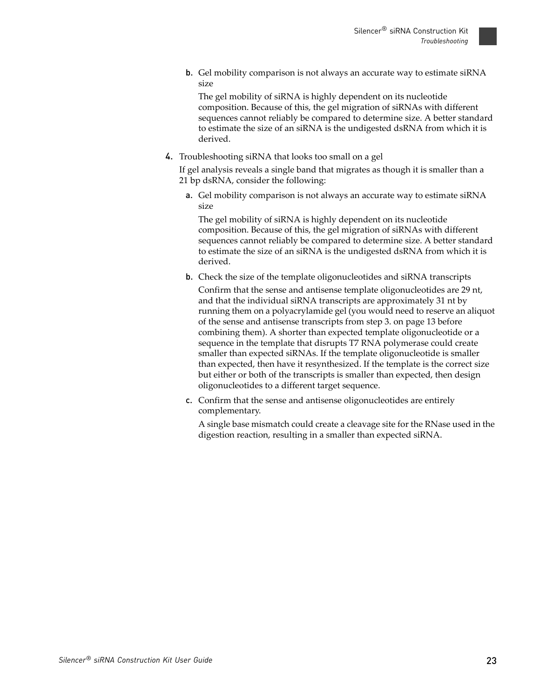b. Gel mobility comparison is not always an accurate way to estimate siRNA size

The gel mobility of siRNA is highly dependent on its nucleotide composition. Because of this, the gel migration of siRNAs with different sequences cannot reliably be compared to determine size. A better standard to estimate the size of an siRNA is the undigested dsRNA from which it is derived.

4. Troubleshooting siRNA that looks too small on a gel

If gel analysis reveals a single band that migrates as though it is smaller than a 21 bp dsRNA, consider the following:

a. Gel mobility comparison is not always an accurate way to estimate siRNA size

The gel mobility of siRNA is highly dependent on its nucleotide composition. Because of this, the gel migration of siRNAs with different sequences cannot reliably be compared to determine size. A better standard to estimate the size of an siRNA is the undigested dsRNA from which it is derived.

b. Check the size of the template oligonucleotides and siRNA transcripts Confirm that the sense and antisense template oligonucleotides are 29 nt,

and that the individual siRNA transcripts are approximately 31 nt by running them on a polyacrylamide gel (you would need to reserve an aliquot of the sense and antisense transcripts from step [3. on page 13](#page-12-3) before combining them). A shorter than expected template oligonucleotide or a sequence in the template that disrupts T7 RNA polymerase could create smaller than expected siRNAs. If the template oligonucleotide is smaller than expected, then have it resynthesized. If the template is the correct size but either or both of the transcripts is smaller than expected, then design oligonucleotides to a different target sequence.

c. Confirm that the sense and antisense oligonucleotides are entirely complementary.

A single base mismatch could create a cleavage site for the RNase used in the digestion reaction, resulting in a smaller than expected siRNA.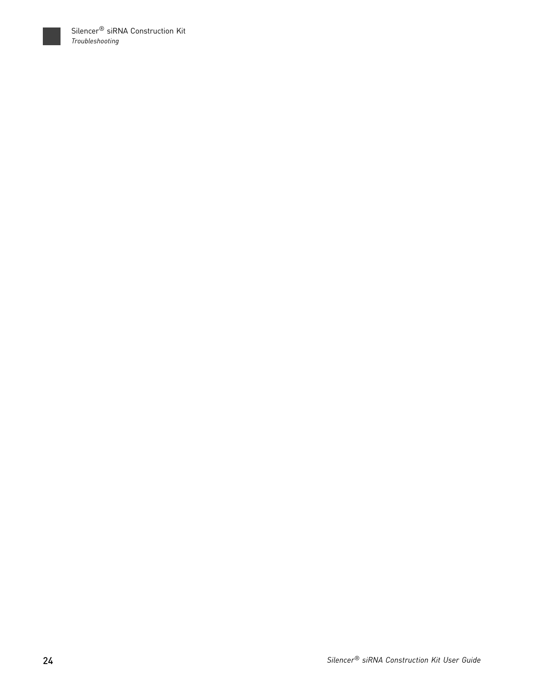

Silencer® siRNA Construction Kit *Troubleshooting*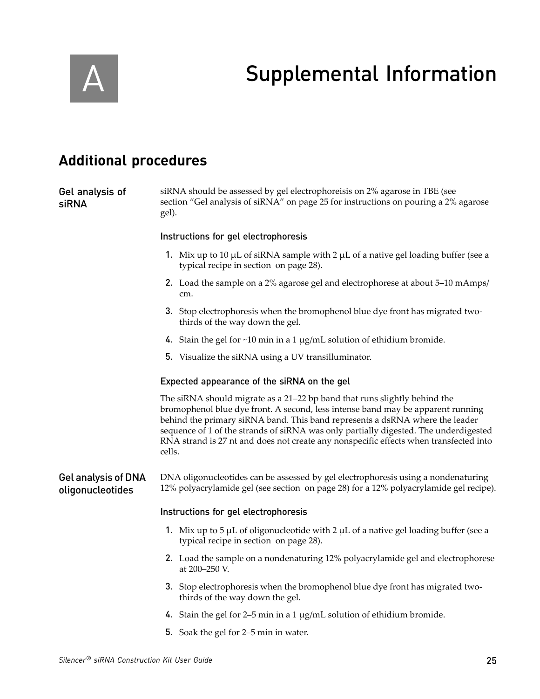<span id="page-24-0"></span>

# Supplemental Information

# <span id="page-24-1"></span>**Additional procedures**

<span id="page-24-5"></span><span id="page-24-4"></span><span id="page-24-3"></span><span id="page-24-2"></span>

| Gel analysis of<br><b>siRNA</b>                | siRNA should be assessed by gel electrophoreisis on 2% agarose in TBE (see<br>section "Gel analysis of siRNA" on page 25 for instructions on pouring a 2% agarose<br>gel).<br>Instructions for gel electrophoresis                                                                                                                                                                                                                      |  |
|------------------------------------------------|-----------------------------------------------------------------------------------------------------------------------------------------------------------------------------------------------------------------------------------------------------------------------------------------------------------------------------------------------------------------------------------------------------------------------------------------|--|
|                                                |                                                                                                                                                                                                                                                                                                                                                                                                                                         |  |
|                                                | 1. Mix up to 10 $\mu$ L of siRNA sample with 2 $\mu$ L of a native gel loading buffer (see a<br>typical recipe in section on page 28).                                                                                                                                                                                                                                                                                                  |  |
|                                                | 2. Load the sample on a 2% agarose gel and electrophorese at about 5–10 mAmps/<br>cm.                                                                                                                                                                                                                                                                                                                                                   |  |
|                                                | 3. Stop electrophoresis when the bromophenol blue dye front has migrated two-<br>thirds of the way down the gel.                                                                                                                                                                                                                                                                                                                        |  |
|                                                | 4. Stain the gel for $\sim$ 10 min in a 1 $\mu$ g/mL solution of ethidium bromide.                                                                                                                                                                                                                                                                                                                                                      |  |
|                                                | 5. Visualize the siRNA using a UV transilluminator.                                                                                                                                                                                                                                                                                                                                                                                     |  |
|                                                | Expected appearance of the siRNA on the gel                                                                                                                                                                                                                                                                                                                                                                                             |  |
|                                                | The siRNA should migrate as a 21–22 bp band that runs slightly behind the<br>bromophenol blue dye front. A second, less intense band may be apparent running<br>behind the primary siRNA band. This band represents a dsRNA where the leader<br>sequence of 1 of the strands of siRNA was only partially digested. The underdigested<br>RNA strand is 27 nt and does not create any nonspecific effects when transfected into<br>cells. |  |
| <b>Gel analysis of DNA</b><br>oligonucleotides | DNA oligonucleotides can be assessed by gel electrophoresis using a nondenaturing<br>12% polyacrylamide gel (see section on page 28) for a 12% polyacrylamide gel recipe).                                                                                                                                                                                                                                                              |  |
|                                                | Instructions for gel electrophoresis                                                                                                                                                                                                                                                                                                                                                                                                    |  |
|                                                | 1. Mix up to 5 $\mu$ L of oligonucleotide with 2 $\mu$ L of a native gel loading buffer (see a<br>typical recipe in section on page 28).                                                                                                                                                                                                                                                                                                |  |
|                                                | 2. Load the sample on a nondenaturing 12% polyacrylamide gel and electrophorese<br>at 200–250 V.                                                                                                                                                                                                                                                                                                                                        |  |
|                                                | 3. Stop electrophoresis when the bromophenol blue dye front has migrated two-<br>thirds of the way down the gel.                                                                                                                                                                                                                                                                                                                        |  |
|                                                | 4. Stain the gel for 2–5 min in a 1 µg/mL solution of ethidium bromide.                                                                                                                                                                                                                                                                                                                                                                 |  |
|                                                | 5. Soak the gel for 2–5 min in water.                                                                                                                                                                                                                                                                                                                                                                                                   |  |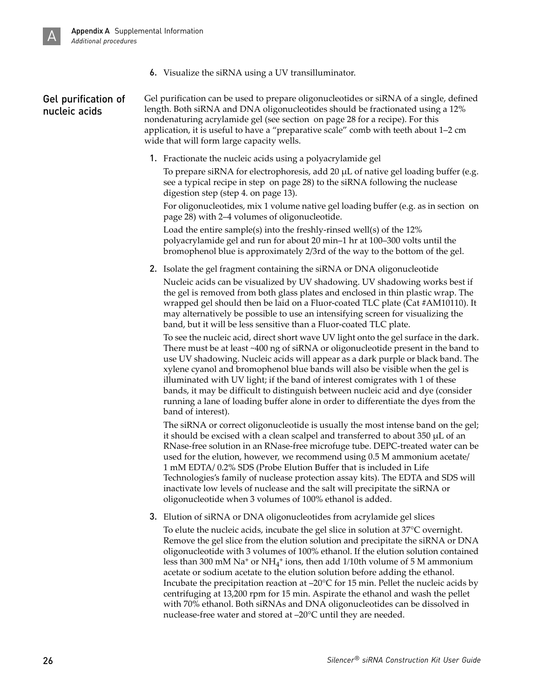6. Visualize the siRNA using a UV transilluminator.

#### <span id="page-25-1"></span><span id="page-25-0"></span>Gel purification of nucleic acids Gel purification can be used to prepare oligonucleotides or siRNA of a single, defined length. Both siRNA and DNA oligonucleotides should be fractionated using a 12% nondenaturing acrylamide gel (see section [on page 28](#page-27-0) for a recipe). For this application, it is useful to have a "preparative scale" comb with teeth about 1–2 cm wide that will form large capacity wells.

1. Fractionate the nucleic acids using a polyacrylamide gel

To prepare siRNA for electrophoresis, add 20  $\mu$ L of native gel loading buffer (e.g. see a typical recipe in step [on page 28](#page-27-1)) to the siRNA following the nuclease digestion step (step [4. on page 13](#page-12-4)).

For oligonucleotides, mix 1 volume native gel loading buffer (e.g. as in section [on](#page-27-1)  [page 28](#page-27-1)) with 2–4 volumes of oligonucleotide.

Load the entire sample(s) into the freshly-rinsed well(s) of the 12% polyacrylamide gel and run for about 20 min–1 hr at 100–300 volts until the bromophenol blue is approximately 2/3rd of the way to the bottom of the gel.

2. Isolate the gel fragment containing the siRNA or DNA oligonucleotide

Nucleic acids can be visualized by UV shadowing. UV shadowing works best if the gel is removed from both glass plates and enclosed in thin plastic wrap. The wrapped gel should then be laid on a Fluor-coated TLC plate (Cat #AM10110). It may alternatively be possible to use an intensifying screen for visualizing the band, but it will be less sensitive than a Fluor-coated TLC plate.

To see the nucleic acid, direct short wave UV light onto the gel surface in the dark. There must be at least ~400 ng of siRNA or oligonucleotide present in the band to use UV shadowing. Nucleic acids will appear as a dark purple or black band. The xylene cyanol and bromophenol blue bands will also be visible when the gel is illuminated with UV light; if the band of interest comigrates with 1 of these bands, it may be difficult to distinguish between nucleic acid and dye (consider running a lane of loading buffer alone in order to differentiate the dyes from the band of interest).

The siRNA or correct oligonucleotide is usually the most intense band on the gel; it should be excised with a clean scalpel and transferred to about 350 µL of an RNase-free solution in an RNase-free microfuge tube. DEPC-treated water can be used for the elution, however, we recommend using 0.5 M ammonium acetate/ 1 mM EDTA/ 0.2% SDS (Probe Elution Buffer that is included in Life Technologies's family of nuclease protection assay kits). The EDTA and SDS will inactivate low levels of nuclease and the salt will precipitate the siRNA or oligonucleotide when 3 volumes of 100% ethanol is added.

3. Elution of siRNA or DNA oligonucleotides from acrylamide gel slices

To elute the nucleic acids, incubate the gel slice in solution at 37°C overnight. Remove the gel slice from the elution solution and precipitate the siRNA or DNA oligonucleotide with 3 volumes of 100% ethanol. If the elution solution contained less than 300 mM  $\mathrm{Na^+}$  or  $\mathrm{NH}_4^+$  ions, then add 1/10th volume of 5 M ammonium acetate or sodium acetate to the elution solution before adding the ethanol. Incubate the precipitation reaction at  $-20^{\circ}$ C for 15 min. Pellet the nucleic acids by centrifuging at 13,200 rpm for 15 min. Aspirate the ethanol and wash the pellet with 70% ethanol. Both siRNAs and DNA oligonucleotides can be dissolved in nuclease-free water and stored at –20°C until they are needed.

26 *Silencer® siRNA Construction Kit User Guide*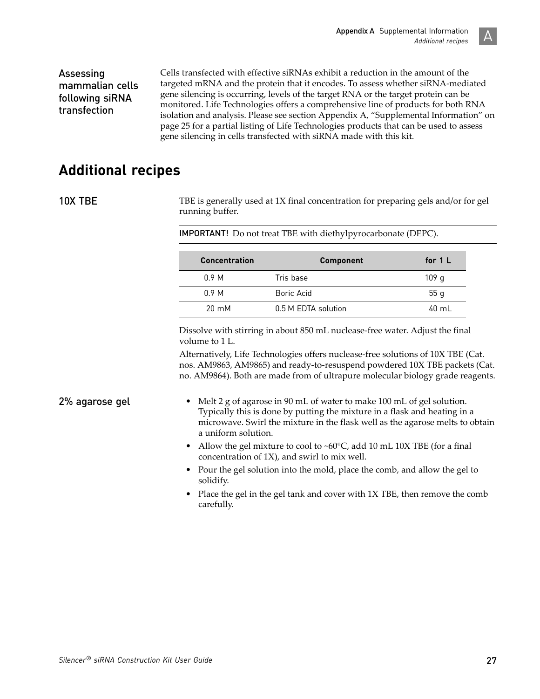<span id="page-26-0"></span>Assessing mammalian cells following siRNA transfection

Cells transfected with effective siRNAs exhibit a reduction in the amount of the targeted mRNA and the protein that it encodes. To assess whether siRNA-mediated gene silencing is occurring, levels of the target RNA or the target protein can be monitored. Life Technologies offers a comprehensive line of products for both RNA isolation and analysis. Please see section [Appendix A, "Supplemental Information" on](#page-24-0)  [page 25](#page-24-0) for a partial listing of Life Technologies products that can be used to assess gene silencing in cells transfected with siRNA made with this kit.

## <span id="page-26-1"></span>**Additional recipes**

<span id="page-26-2"></span>10X TBE TBE is generally used at 1X final concentration for preparing gels and/or for gel running buffer.

IMPORTANT! Do not treat TBE with diethylpyrocarbonate (DEPC).

| <b>Concentration</b> | <b>Component</b>    | for $1L$        |
|----------------------|---------------------|-----------------|
| 0.9 <sub>M</sub>     | Tris base           | 109q            |
| 0.9 <sub>M</sub>     | Boric Acid          | 55q             |
| $20 \text{ mM}$      | 0.5 M EDTA solution | $40 \text{ mL}$ |

Dissolve with stirring in about 850 mL nuclease-free water. Adjust the final volume to 1 L.

Alternatively, Life Technologies offers nuclease-free solutions of 10X TBE (Cat. nos. AM9863, AM9865) and ready-to-resuspend powdered 10X TBE packets (Cat. no. AM9864). Both are made from of ultrapure molecular biology grade reagents.

- <span id="page-26-3"></span>2% agarose gel • Melt 2 g of agarose in 90 mL of water to make 100 mL of gel solution. Typically this is done by putting the mixture in a flask and heating in a microwave. Swirl the mixture in the flask well as the agarose melts to obtain a uniform solution.
	- Allow the gel mixture to cool to ~60 $^{\circ}$ C, add 10 mL 10X TBE (for a final concentration of 1X), and swirl to mix well.
	- Pour the gel solution into the mold, place the comb, and allow the gel to solidify.
	- Place the gel in the gel tank and cover with 1X TBE, then remove the comb carefully.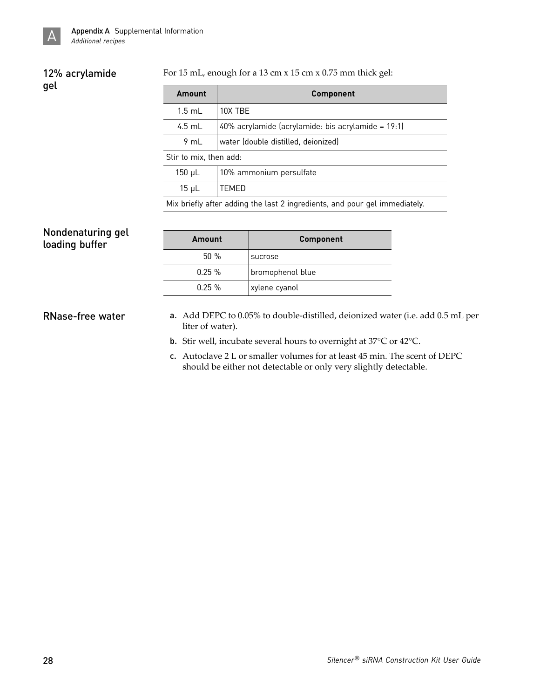

### <span id="page-27-0"></span>12% acrylamide gel

#### For 15 mL, enough for a 13 cm x 15 cm x 0.75 mm thick gel:

| Amount                 | <b>Component</b>                                   |
|------------------------|----------------------------------------------------|
| $1.5$ mL               | 10X TBE                                            |
| 4.5 ml                 | 40% acrylamide (acrylamide: bis acrylamide = 19:1) |
| 9 mL                   | water (double distilled, deionized)                |
| Stir to mix, then add: |                                                    |
| 150 µL                 | 10% ammonium persulfate                            |
| $15 \mu L$             | TFMFD                                              |

Mix briefly after adding the last 2 ingredients, and pour gel immediately.

### <span id="page-27-1"></span>Nondenaturing gel loading buffer

| Amount    | <b>Component</b> |
|-----------|------------------|
| 50%       | sucrose          |
| $0.25 \%$ | bromophenol blue |
| $0.25 \%$ | xylene cyanol    |

- <span id="page-27-2"></span>RNase-free water a. Add DEPC to 0.05% to double-distilled, deionized water (i.e. add 0.5 mL per liter of water).
	- b. Stir well, incubate several hours to overnight at 37°C or 42°C.
	- c. Autoclave 2 L or smaller volumes for at least 45 min. The scent of DEPC should be either not detectable or only very slightly detectable.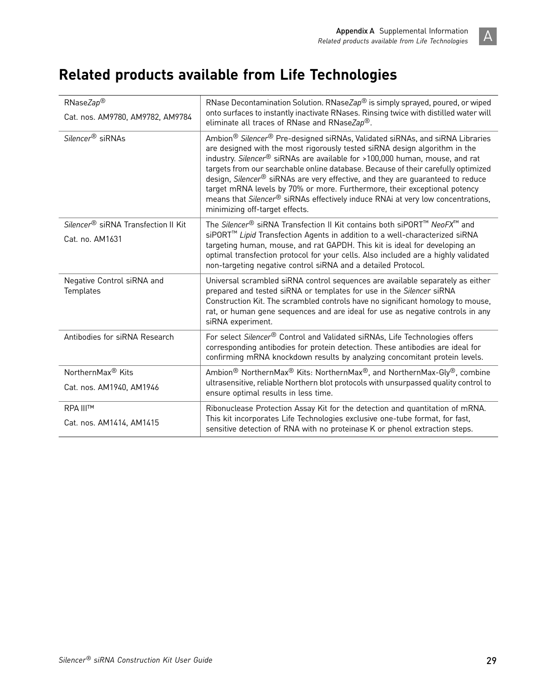

# <span id="page-28-0"></span>**Related products available from Life Technologies**

| RNaseZap <sup>®</sup>                   | RNase Decontamination Solution. RNaseZap <sup>®</sup> is simply sprayed, poured, or wiped<br>onto surfaces to instantly inactivate RNases. Rinsing twice with distilled water will                                                                                                                                                                                                                                                                                                                                                                                                                                                                                             |
|-----------------------------------------|--------------------------------------------------------------------------------------------------------------------------------------------------------------------------------------------------------------------------------------------------------------------------------------------------------------------------------------------------------------------------------------------------------------------------------------------------------------------------------------------------------------------------------------------------------------------------------------------------------------------------------------------------------------------------------|
| Cat. nos. AM9780, AM9782, AM9784        | eliminate all traces of RNase and RNaseZap®.                                                                                                                                                                                                                                                                                                                                                                                                                                                                                                                                                                                                                                   |
| Silencer <sup>®</sup> siRNAs            | Ambion <sup>®</sup> Silencer <sup>®</sup> Pre-designed siRNAs, Validated siRNAs, and siRNA Libraries<br>are designed with the most rigorously tested siRNA design algorithm in the<br>industry. Silencer <sup>®</sup> siRNAs are available for >100,000 human, mouse, and rat<br>targets from our searchable online database. Because of their carefully optimized<br>design, Silencer <sup>®</sup> siRNAs are very effective, and they are guaranteed to reduce<br>target mRNA levels by 70% or more. Furthermore, their exceptional potency<br>means that Silencer <sup>®</sup> siRNAs effectively induce RNAi at very low concentrations,<br>minimizing off-target effects. |
| Silencer® siRNA Transfection II Kit     | The Silencer® siRNA Transfection II Kit contains both siPORT™ NeoFX™ and                                                                                                                                                                                                                                                                                                                                                                                                                                                                                                                                                                                                       |
| Cat. no. AM1631                         | siPORT <sup>™</sup> Lipid Transfection Agents in addition to a well-characterized siRNA<br>targeting human, mouse, and rat GAPDH. This kit is ideal for developing an<br>optimal transfection protocol for your cells. Also included are a highly validated<br>non-targeting negative control siRNA and a detailed Protocol.                                                                                                                                                                                                                                                                                                                                                   |
| Negative Control siRNA and<br>Templates | Universal scrambled siRNA control sequences are available separately as either<br>prepared and tested siRNA or templates for use in the Silencer siRNA<br>Construction Kit. The scrambled controls have no significant homology to mouse,<br>rat, or human gene sequences and are ideal for use as negative controls in any<br>siRNA experiment.                                                                                                                                                                                                                                                                                                                               |
| Antibodies for siRNA Research           | For select Silencer® Control and Validated siRNAs, Life Technologies offers<br>corresponding antibodies for protein detection. These antibodies are ideal for<br>confirming mRNA knockdown results by analyzing concomitant protein levels.                                                                                                                                                                                                                                                                                                                                                                                                                                    |
| NorthernMax <sup>®</sup> Kits           | Ambion <sup>®</sup> NorthernMax <sup>®</sup> Kits: NorthernMax®, and NorthernMax-Gly®, combine                                                                                                                                                                                                                                                                                                                                                                                                                                                                                                                                                                                 |
| Cat. nos. AM1940, AM1946                | ultrasensitive, reliable Northern blot protocols with unsurpassed quality control to<br>ensure optimal results in less time.                                                                                                                                                                                                                                                                                                                                                                                                                                                                                                                                                   |
| <b>RPA III™</b>                         | Ribonuclease Protection Assay Kit for the detection and quantitation of mRNA.                                                                                                                                                                                                                                                                                                                                                                                                                                                                                                                                                                                                  |
| Cat. nos. AM1414, AM1415                | This kit incorporates Life Technologies exclusive one-tube format, for fast,<br>sensitive detection of RNA with no proteinase K or phenol extraction steps.                                                                                                                                                                                                                                                                                                                                                                                                                                                                                                                    |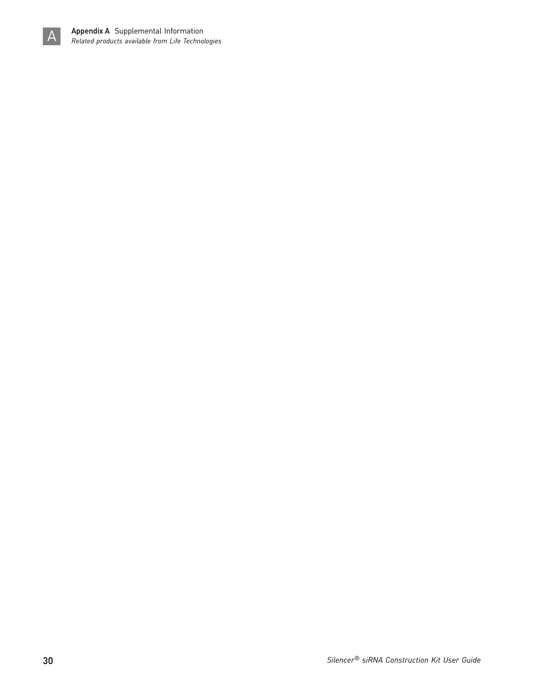

Appendix A Supplemental Information A *Related products available from Life Technologies*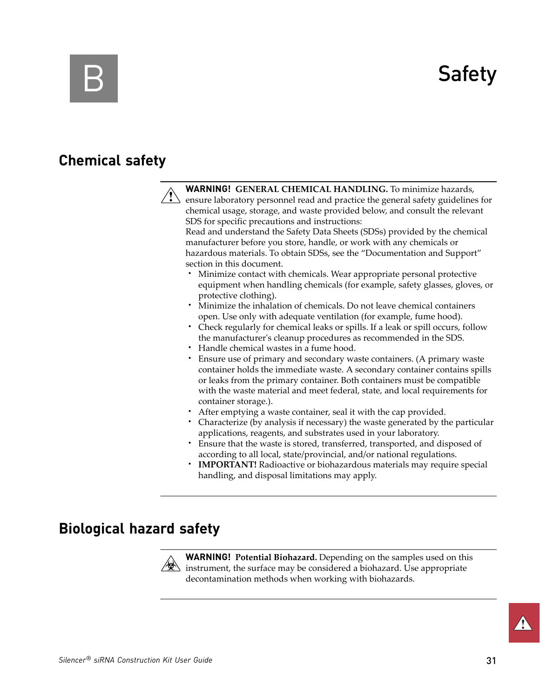# Safety

<span id="page-30-0"></span>

# <span id="page-30-1"></span>**Chemical safety**



**WARNING! GENERAL CHEMICAL HANDLING.** To minimize hazards,

ensure laboratory personnel read and practice the general safety guidelines for chemical usage, storage, and waste provided below, and consult the relevant SDS for specific precautions and instructions:

Read and understand the Safety Data Sheets (SDSs) provided by the chemical manufacturer before you store, handle, or work with any chemicals or hazardous materials. To obtain SDSs, see the "Documentation and Support" section in this document.

- **·** Minimize contact with chemicals. Wear appropriate personal protective equipment when handling chemicals (for example, safety glasses, gloves, or protective clothing).
- **·** Minimize the inhalation of chemicals. Do not leave chemical containers open. Use only with adequate ventilation (for example, fume hood).
- **·** Check regularly for chemical leaks or spills. If a leak or spill occurs, follow the manufacturer's cleanup procedures as recommended in the SDS.
- **·** Handle chemical wastes in a fume hood.
- **·** Ensure use of primary and secondary waste containers. (A primary waste container holds the immediate waste. A secondary container contains spills or leaks from the primary container. Both containers must be compatible with the waste material and meet federal, state, and local requirements for container storage.).
- **·** After emptying a waste container, seal it with the cap provided.
- **·** Characterize (by analysis if necessary) the waste generated by the particular applications, reagents, and substrates used in your laboratory.
- **·** Ensure that the waste is stored, transferred, transported, and disposed of according to all local, state/provincial, and/or national regulations.
- **· IMPORTANT!** Radioactive or biohazardous materials may require special handling, and disposal limitations may apply.

## <span id="page-30-2"></span>**Biological hazard safety**



**WARNING! Potential Biohazard.** Depending on the samples used on this instrument, the surface may be considered a biohazard. Use appropriate decontamination methods when working with biohazards.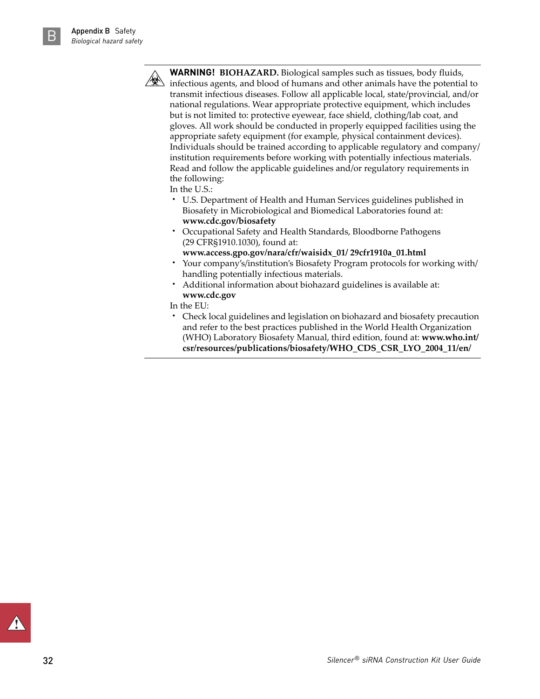

**WARNING! BIOHAZARD.** Biological samples such as tissues, body fluids, infectious agents, and blood of humans and other animals have the potential to transmit infectious diseases. Follow all applicable local, state/provincial, and/or national regulations. Wear appropriate protective equipment, which includes but is not limited to: protective eyewear, face shield, clothing/lab coat, and gloves. All work should be conducted in properly equipped facilities using the appropriate safety equipment (for example, physical containment devices). Individuals should be trained according to applicable regulatory and company/ institution requirements before working with potentially infectious materials. Read and follow the applicable guidelines and/or regulatory requirements in the following:

In the U.S.:

- **·** U.S. Department of Health and Human Services guidelines published in Biosafety in Microbiological and Biomedical Laboratories found at: **[www.cdc.gov/biosafety](http://www.cdc.gov/biosafety)**
- **·** Occupational Safety and Health Standards, Bloodborne Pathogens (29 CFR§1910.1030), found at:
	- **[www.access.gpo.gov/nara/cfr/waisidx\\_01/ 29cfr1910a\\_01.html](http://www.access.gpo.gov/nara/cfr/waisidx_01/29cfr1910a_01.html)**
- **·** Your company's/institution's Biosafety Program protocols for working with/ handling potentially infectious materials.
- **·** Additional information about biohazard guidelines is available at: **[www.cdc.gov](http://www.cdc.gov)**
- In the EU:
- **·** Check local guidelines and legislation on biohazard and biosafety precaution and refer to the best practices published in the World Health Organization (WHO) Laboratory Biosafety Manual, third edition, found at: **[www.who.int/](http://www.who.int/csr/resources/publications/biosafety/WHO_CDS_CSR_LYO_2004_11/en/)  [csr/resources/publications/biosafety/WHO\\_CDS\\_CSR\\_LYO\\_2004\\_11/en/](http://www.who.int/csr/resources/publications/biosafety/WHO_CDS_CSR_LYO_2004_11/en/)**

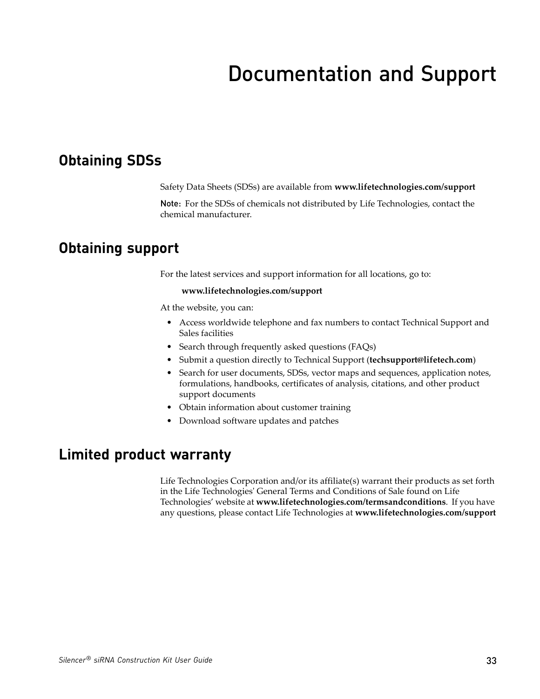# <span id="page-32-0"></span>Documentation and Support

## <span id="page-32-1"></span>**Obtaining SDSs**

Safety Data Sheets (SDSs) are available from **[www.lifetechnologies.com/support](http://www.lifetechnologies.com/support)**

Note: For the SDSs of chemicals not distributed by Life Technologies, contact the chemical manufacturer.

## <span id="page-32-2"></span>**Obtaining support**

For the latest services and support information for all locations, go to:

#### **[www.lifetechnologies.com/support](http://www.lifetechnologies.com/support)**

At the website, you can:

- Access worldwide telephone and fax numbers to contact Technical Support and Sales facilities
- Search through frequently asked questions (FAQs)
- Submit a question directly to Technical Support (**techsupport@lifetech.com**)
- Search for user documents, SDSs, vector maps and sequences, application notes, formulations, handbooks, certificates of analysis, citations, and other product support documents
- Obtain information about customer training
- Download software updates and patches

### <span id="page-32-3"></span>**Limited product warranty**

[Life Technologies Corporation and/or its affiliate\(s\) warrant their products as set forth](goto:www.lifetechnologies.com/termsandconditions)  in the Life Technologies' General Terms and Conditions of Sale found on Life [Technologies' website at](goto:www.lifetechnologies.com/termsandconditions) **[www.lifetechnologies.com/termsandconditions](http://www.lifetechnologies.com/termsandconditions)**[. If you have](www.lifetechnologies.com/support)  [any questions, please contact Life Technologies at](www.lifetechnologies.com/support) **[www.lifetechnologies.com/support](http://www.lifetechnologies.com/support)**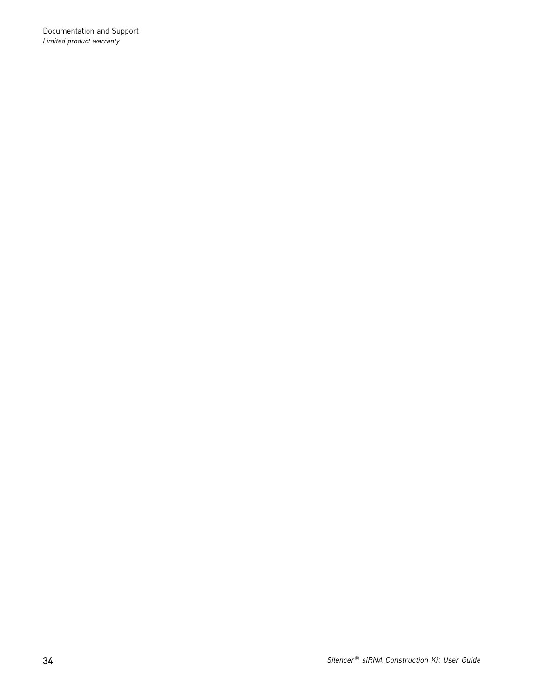Documentation and Support *Limited product warranty*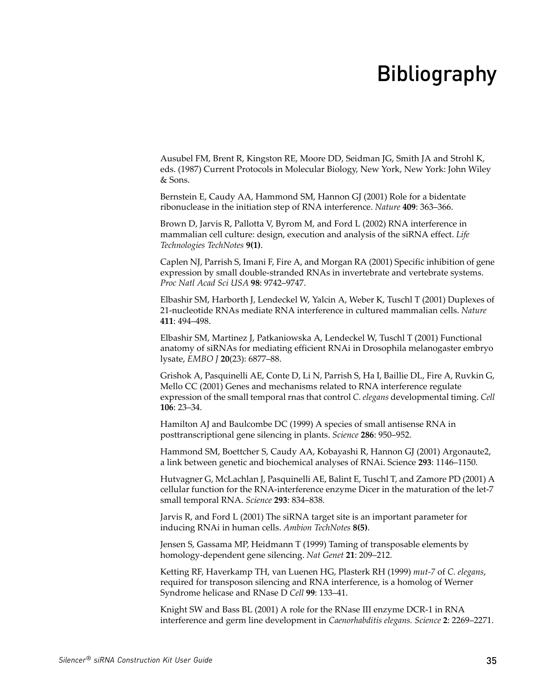# Bibliography

<span id="page-34-0"></span>Ausubel FM, Brent R, Kingston RE, Moore DD, Seidman JG, Smith JA and Strohl K, eds. (1987) Current Protocols in Molecular Biology, New York, New York: John Wiley & Sons.

Bernstein E, Caudy AA, Hammond SM, Hannon GJ (2001) Role for a bidentate ribonuclease in the initiation step of RNA interference. *Nature* **409**: 363–366.

Brown D, Jarvis R, Pallotta V, Byrom M, and Ford L (2002) RNA interference in mammalian cell culture: design, execution and analysis of the siRNA effect. *Life Technologies TechNotes* **9(1)**.

Caplen NJ, Parrish S, Imani F, Fire A, and Morgan RA (2001) Specific inhibition of gene expression by small double-stranded RNAs in invertebrate and vertebrate systems. *Proc Natl Acad Sci USA* **98**: 9742–9747.

Elbashir SM, Harborth J, Lendeckel W, Yalcin A, Weber K, Tuschl T (2001) Duplexes of 21-nucleotide RNAs mediate RNA interference in cultured mammalian cells. *Nature* **411**: 494–498.

Elbashir SM, Martinez J, Patkaniowska A, Lendeckel W, Tuschl T (2001) Functional anatomy of siRNAs for mediating efficient RNAi in Drosophila melanogaster embryo lysate, *EMBO J* **20**(23): 6877–88.

Grishok A, Pasquinelli AE, Conte D, Li N, Parrish S, Ha I, Baillie DL, Fire A, Ruvkin G, Mello CC (2001) Genes and mechanisms related to RNA interference regulate expression of the small temporal rnas that control *C. elegans* developmental timing. *Cell* **106**: 23–34.

Hamilton AJ and Baulcombe DC (1999) A species of small antisense RNA in posttranscriptional gene silencing in plants. *Science* **286**: 950–952.

Hammond SM, Boettcher S, Caudy AA, Kobayashi R, Hannon GJ (2001) Argonaute2, a link between genetic and biochemical analyses of RNAi. Science **293**: 1146–1150.

Hutvagner G, McLachlan J, Pasquinelli AE, Balint E, Tuschl T, and Zamore PD (2001) A cellular function for the RNA-interference enzyme Dicer in the maturation of the let-7 small temporal RNA. *Science* **293**: 834–838.

Jarvis R, and Ford L (2001) The siRNA target site is an important parameter for inducing RNAi in human cells. *Ambion TechNotes* **8(5)**.

Jensen S, Gassama MP, Heidmann T (1999) Taming of transposable elements by homology-dependent gene silencing. *Nat Genet* **21**: 209–212.

Ketting RF, Haverkamp TH, van Luenen HG, Plasterk RH (1999) *mut-7* of *C. elegans*, required for transposon silencing and RNA interference, is a homolog of Werner Syndrome helicase and RNase D *Cell* **99**: 133–41.

Knight SW and Bass BL (2001) A role for the RNase III enzyme DCR-1 in RNA interference and germ line development in *Caenorhabditis elegans. Science* **2**: 2269–2271.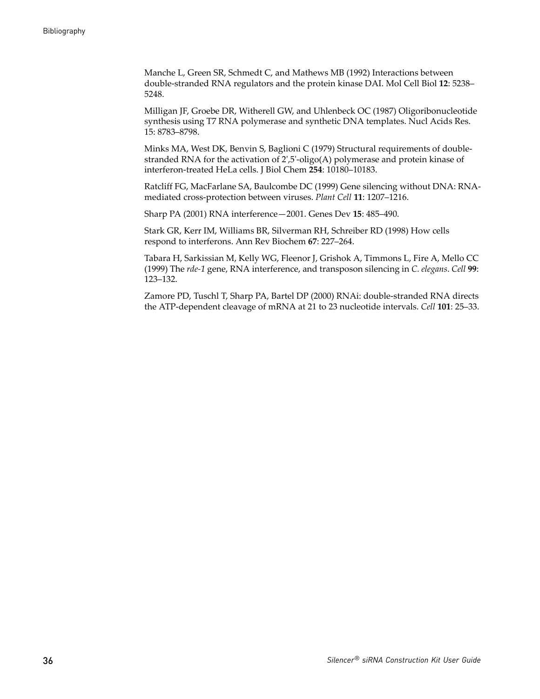Manche L, Green SR, Schmedt C, and Mathews MB (1992) Interactions between double-stranded RNA regulators and the protein kinase DAI. Mol Cell Biol **12**: 5238– 5248.

Milligan JF, Groebe DR, Witherell GW, and Uhlenbeck OC (1987) Oligoribonucleotide synthesis using T7 RNA polymerase and synthetic DNA templates. Nucl Acids Res. 15: 8783–8798.

Minks MA, West DK, Benvin S, Baglioni C (1979) Structural requirements of doublestranded RNA for the activation of 2',5'-oligo(A) polymerase and protein kinase of interferon-treated HeLa cells. J Biol Chem **254**: 10180–10183.

Ratcliff FG, MacFarlane SA, Baulcombe DC (1999) Gene silencing without DNA: RNAmediated cross-protection between viruses. *Plant Cell* **11**: 1207–1216.

Sharp PA (2001) RNA interference—2001. Genes Dev **15**: 485–490.

Stark GR, Kerr IM, Williams BR, Silverman RH, Schreiber RD (1998) How cells respond to interferons. Ann Rev Biochem **67**: 227–264.

Tabara H, Sarkissian M, Kelly WG, Fleenor J, Grishok A, Timmons L, Fire A, Mello CC (1999) The *rde-1* gene, RNA interference, and transposon silencing in *C. elegans*. *Cell* **99**: 123–132.

Zamore PD, Tuschl T, Sharp PA, Bartel DP (2000) RNAi: double-stranded RNA directs the ATP-dependent cleavage of mRNA at 21 to 23 nucleotide intervals. *Cell* **101**: 25–33.